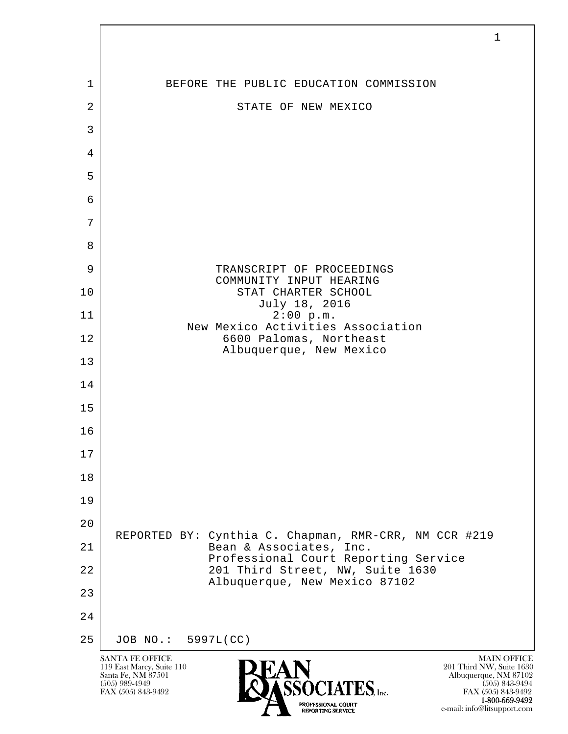|                | 1                                                                                                                                                                                                                                                                          |
|----------------|----------------------------------------------------------------------------------------------------------------------------------------------------------------------------------------------------------------------------------------------------------------------------|
|                |                                                                                                                                                                                                                                                                            |
| 1              | BEFORE THE PUBLIC EDUCATION COMMISSION                                                                                                                                                                                                                                     |
| $\overline{2}$ | STATE OF NEW MEXICO                                                                                                                                                                                                                                                        |
| $\mathfrak{Z}$ |                                                                                                                                                                                                                                                                            |
| 4<br>5         |                                                                                                                                                                                                                                                                            |
| 6              |                                                                                                                                                                                                                                                                            |
| 7              |                                                                                                                                                                                                                                                                            |
| 8              |                                                                                                                                                                                                                                                                            |
| 9              | TRANSCRIPT OF PROCEEDINGS                                                                                                                                                                                                                                                  |
| 10             | COMMUNITY INPUT HEARING<br>STAT CHARTER SCHOOL                                                                                                                                                                                                                             |
| 11             | July 18, 2016<br>2:00 p.m.                                                                                                                                                                                                                                                 |
| 12             | New Mexico Activities Association<br>6600 Palomas, Northeast                                                                                                                                                                                                               |
| 13             | Albuquerque, New Mexico                                                                                                                                                                                                                                                    |
| 14             |                                                                                                                                                                                                                                                                            |
| 15             |                                                                                                                                                                                                                                                                            |
| 16             |                                                                                                                                                                                                                                                                            |
| 17             |                                                                                                                                                                                                                                                                            |
| 18             |                                                                                                                                                                                                                                                                            |
| 19             |                                                                                                                                                                                                                                                                            |
| 20             |                                                                                                                                                                                                                                                                            |
| 21             | REPORTED BY: Cynthia C. Chapman, RMR-CRR, NM CCR #219<br>Bean & Associates, Inc.                                                                                                                                                                                           |
| 22             | Professional Court Reporting Service<br>201 Third Street, NW, Suite 1630                                                                                                                                                                                                   |
| 23             | Albuquerque, New Mexico 87102                                                                                                                                                                                                                                              |
| 24             |                                                                                                                                                                                                                                                                            |
| 25             | JOB NO.: 5997L(CC)                                                                                                                                                                                                                                                         |
|                | <b>SANTA FE OFFICE</b><br><b>MAIN OFFICE</b><br>201 Third NW, Suite 1630<br>119 East Marcy, Suite 110<br>Santa Fe, NM 87501<br>Albuquerque, NM 87102<br>$(505)$ 989-4949<br>$(505)$ 843-9494<br>$TES$ , Inc.<br>FAX (505) 843-9492<br>FAX (505) 843-9492<br>1-800-669-9492 |

e-mail: info@litsupport.com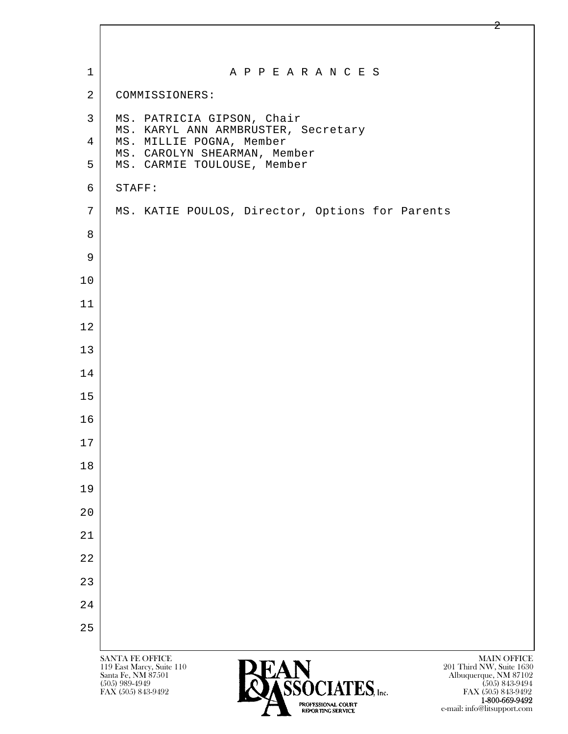| $\mathbf 1$    | A P P E A R A N C E S                                                                                                                                   |
|----------------|---------------------------------------------------------------------------------------------------------------------------------------------------------|
| $\overline{2}$ | COMMISSIONERS:                                                                                                                                          |
| $\mathsf{3}$   | MS. PATRICIA GIPSON, Chair<br>MS. KARYL ANN ARMBRUSTER, Secretary                                                                                       |
| 4              | MS. MILLIE POGNA, Member<br>MS. CAROLYN SHEARMAN, Member                                                                                                |
| 5              | MS. CARMIE TOULOUSE, Member                                                                                                                             |
| 6              | STAFF:                                                                                                                                                  |
| 7              | MS. KATIE POULOS, Director, Options for Parents                                                                                                         |
| 8              |                                                                                                                                                         |
| 9              |                                                                                                                                                         |
| 10             |                                                                                                                                                         |
| 11             |                                                                                                                                                         |
| 12             |                                                                                                                                                         |
| 13             |                                                                                                                                                         |
| 14             |                                                                                                                                                         |
| 15             |                                                                                                                                                         |
| 16             |                                                                                                                                                         |
| 17             |                                                                                                                                                         |
| 18             |                                                                                                                                                         |
| 19             |                                                                                                                                                         |
| 20             |                                                                                                                                                         |
| 21             |                                                                                                                                                         |
| 22             |                                                                                                                                                         |
| 23             |                                                                                                                                                         |
| 24             |                                                                                                                                                         |
| 25             |                                                                                                                                                         |
|                | <b>MAIN OFFICE</b><br>SANTA FE OFFICE                                                                                                                   |
|                | 201 Third NW, Suite 1630<br>119 East Marcy, Suite 110<br>Albuquerque, NM 87102<br>(505) 843-9494<br>Santa Fe, NM 87501<br>CCACIATEC<br>$(505)$ 989-4949 |

 $FAX (505) 989-4949$ <br>FAX (505) 843-9492<br>FAX (505) 843-9492<br>FROFTING SERVICE

**1-800-669-9492**<br> **EXALTERIONAL CN BT** e-mail: info@litsupport.com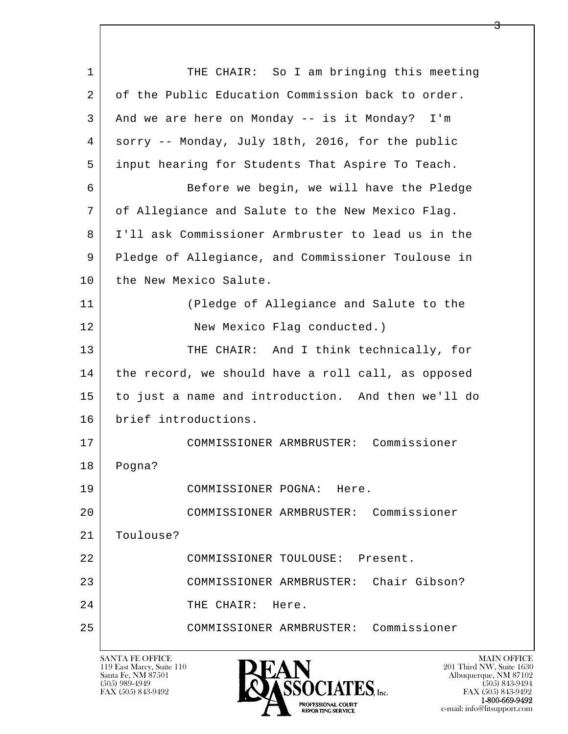| 1  | THE CHAIR: So I am bringing this meeting           |
|----|----------------------------------------------------|
| 2  | of the Public Education Commission back to order.  |
| 3  | And we are here on Monday -- is it Monday? I'm     |
| 4  | sorry -- Monday, July 18th, 2016, for the public   |
| 5  | input hearing for Students That Aspire To Teach.   |
| 6  | Before we begin, we will have the Pledge           |
| 7  | of Allegiance and Salute to the New Mexico Flag.   |
| 8  | I'll ask Commissioner Armbruster to lead us in the |
| 9  | Pledge of Allegiance, and Commissioner Toulouse in |
| 10 | the New Mexico Salute.                             |
| 11 | (Pledge of Allegiance and Salute to the            |
| 12 | New Mexico Flag conducted.)                        |
| 13 | THE CHAIR: And I think technically, for            |
| 14 | the record, we should have a roll call, as opposed |
| 15 | to just a name and introduction. And then we'll do |
| 16 | brief introductions.                               |
| 17 | Commissioner<br>COMMISSIONER ARMBRUSTER:           |
| 18 | Pogna?                                             |
| 19 | COMMISSIONER POGNA: Here.                          |
| 20 | COMMISSIONER ARMBRUSTER: Commissioner              |
| 21 | Toulouse?                                          |
| 22 | COMMISSIONER TOULOUSE: Present.                    |
| 23 | Chair Gibson?<br>COMMISSIONER ARMBRUSTER:          |
| 24 | THE CHAIR:<br>Here.                                |
| 25 | COMMISSIONER ARMBRUSTER: Commissioner              |
|    |                                                    |

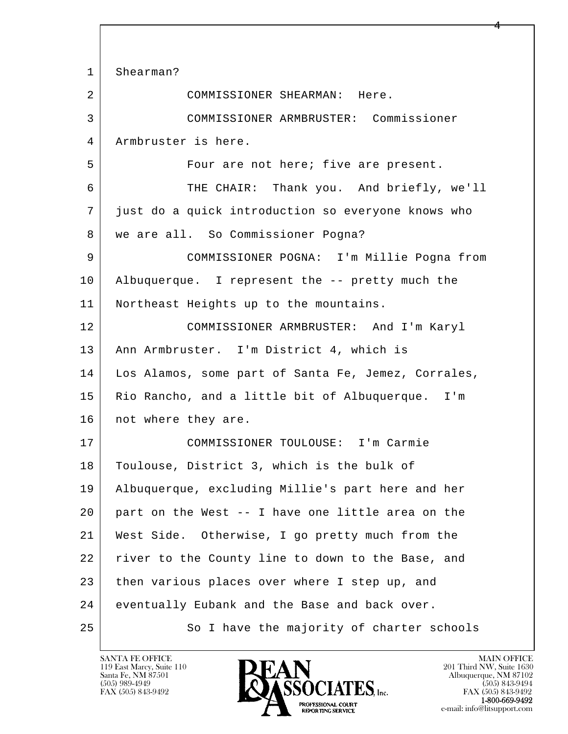l  $\overline{\phantom{a}}$  1 Shearman? 2 COMMISSIONER SHEARMAN: Here. 3 COMMISSIONER ARMBRUSTER: Commissioner 4 Armbruster is here. 5 | Four are not here; five are present. 6 THE CHAIR: Thank you. And briefly, we'll 7 just do a quick introduction so everyone knows who 8 | we are all. So Commissioner Pogna? 9 COMMISSIONER POGNA: I'm Millie Pogna from 10 Albuquerque. I represent the -- pretty much the 11 Northeast Heights up to the mountains. 12 COMMISSIONER ARMBRUSTER: And I'm Karyl 13 | Ann Armbruster. I'm District 4, which is 14 Los Alamos, some part of Santa Fe, Jemez, Corrales, 15 Rio Rancho, and a little bit of Albuquerque. I'm 16 | not where they are. 17 COMMISSIONER TOULOUSE: I'm Carmie 18 | Toulouse, District 3, which is the bulk of 19 Albuquerque, excluding Millie's part here and her 20 part on the West -- I have one little area on the 21 West Side. Otherwise, I go pretty much from the 22 river to the County line to down to the Base, and 23 then various places over where I step up, and 24 eventually Eubank and the Base and back over. 25 So I have the majority of charter schools

119 East Marcy, Suite 110<br>Santa Fe, NM 87501

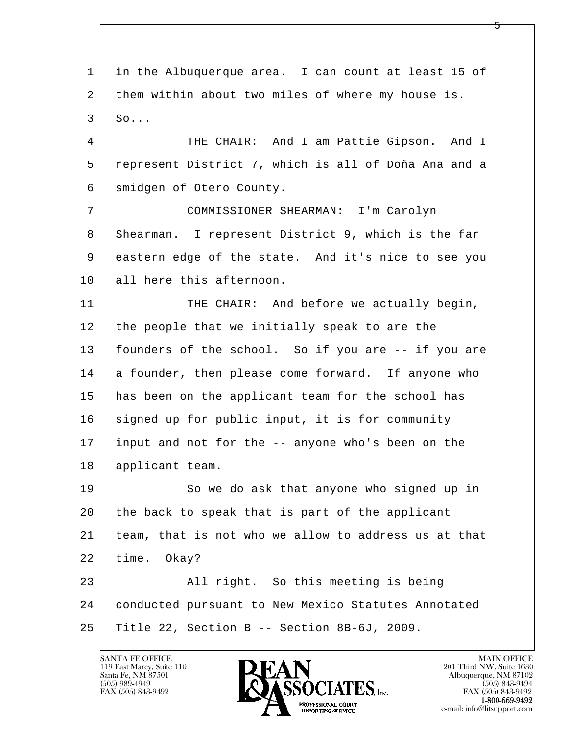l  $\overline{\phantom{a}}$  1 in the Albuquerque area. I can count at least 15 of 2 them within about two miles of where my house is. 3 So... 4 THE CHAIR: And I am Pattie Gipson. And I 5 represent District 7, which is all of Doña Ana and a 6 smidgen of Otero County. 7 COMMISSIONER SHEARMAN: I'm Carolyn 8 Shearman. I represent District 9, which is the far 9 eastern edge of the state. And it's nice to see you 10 all here this afternoon. 11 THE CHAIR: And before we actually begin, 12 the people that we initially speak to are the 13 founders of the school. So if you are -- if you are 14 a founder, then please come forward. If anyone who 15 has been on the applicant team for the school has 16 signed up for public input, it is for community 17 input and not for the -- anyone who's been on the 18 applicant team. 19 So we do ask that anyone who signed up in 20 the back to speak that is part of the applicant 21 team, that is not who we allow to address us at that 22 time. Okay? 23 All right. So this meeting is being 24 conducted pursuant to New Mexico Statutes Annotated 25 Title 22, Section B -- Section 8B-6J, 2009.

119 East Marcy, Suite 110<br>Santa Fe, NM 87501



FAX (505) 843-9492<br>1-800-669-9492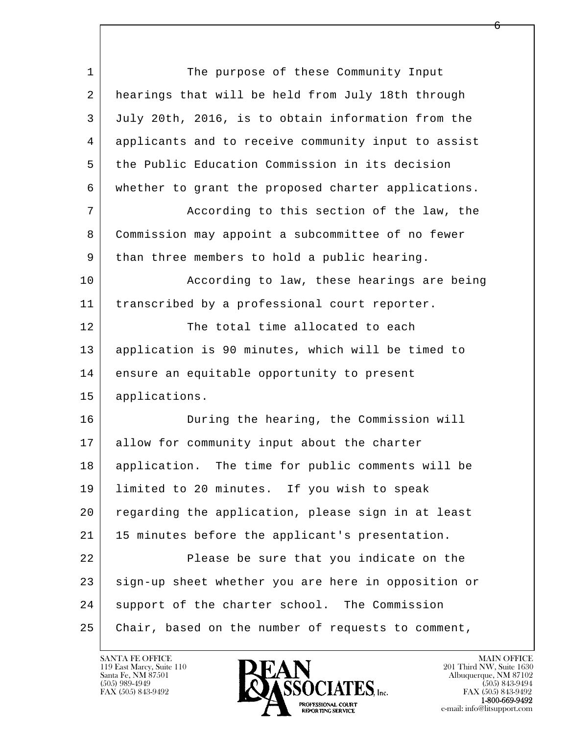| $\mathbf 1$ | The purpose of these Community Input                |
|-------------|-----------------------------------------------------|
| 2           | hearings that will be held from July 18th through   |
| 3           | July 20th, 2016, is to obtain information from the  |
| 4           | applicants and to receive community input to assist |
| 5           | the Public Education Commission in its decision     |
| 6           | whether to grant the proposed charter applications. |
| 7           | According to this section of the law, the           |
| 8           | Commission may appoint a subcommittee of no fewer   |
| 9           | than three members to hold a public hearing.        |
| 10          | According to law, these hearings are being          |
| 11          | transcribed by a professional court reporter.       |
| 12          | The total time allocated to each                    |
| 13          | application is 90 minutes, which will be timed to   |
| 14          | ensure an equitable opportunity to present          |
| 15          | applications.                                       |
| 16          | During the hearing, the Commission will             |
| 17          | allow for community input about the charter         |
| 18          | application. The time for public comments will be   |
| 19          | limited to 20 minutes. If you wish to speak         |
| 20          | regarding the application, please sign in at least  |
| 21          | 15 minutes before the applicant's presentation.     |
| 22          | Please be sure that you indicate on the             |
| 23          | sign-up sheet whether you are here in opposition or |
| 24          | support of the charter school. The Commission       |
| 25          | Chair, based on the number of requests to comment,  |

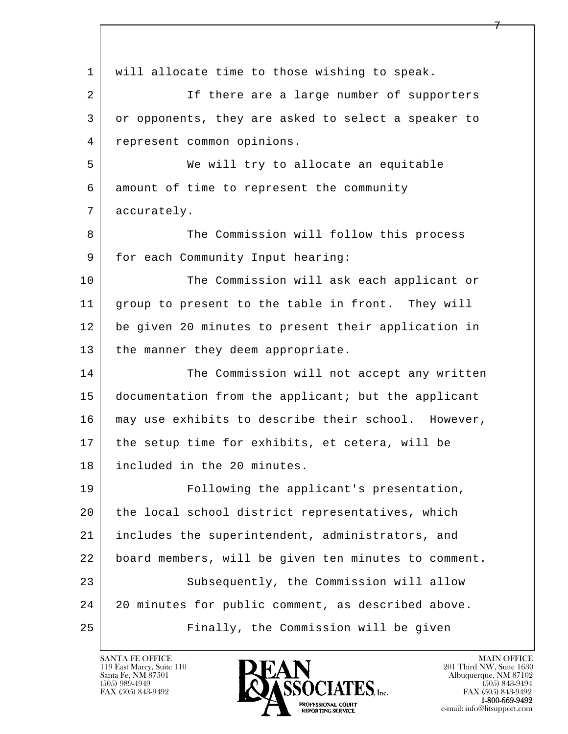l  $\overline{\phantom{a}}$  1 will allocate time to those wishing to speak. 2 If there are a large number of supporters 3 or opponents, they are asked to select a speaker to 4 represent common opinions. 5 We will try to allocate an equitable 6 amount of time to represent the community 7 accurately. 8 The Commission will follow this process 9 | for each Community Input hearing: 10 The Commission will ask each applicant or 11 group to present to the table in front. They will 12 be given 20 minutes to present their application in 13 the manner they deem appropriate. 14 The Commission will not accept any written 15 documentation from the applicant; but the applicant 16 may use exhibits to describe their school. However, 17 the setup time for exhibits, et cetera, will be 18 included in the 20 minutes. 19 Following the applicant's presentation, 20 the local school district representatives, which 21 includes the superintendent, administrators, and 22 board members, will be given ten minutes to comment. 23 Subsequently, the Commission will allow 24 20 minutes for public comment, as described above. 25 Finally, the Commission will be given

119 East Marcy, Suite 110<br>Santa Fe, NM 87501

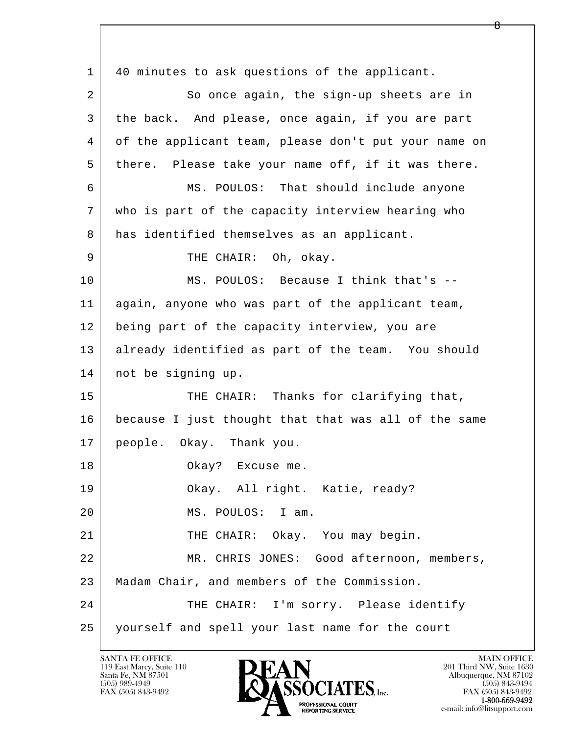l  $\overline{\phantom{a}}$  1 40 minutes to ask questions of the applicant. 2 So once again, the sign-up sheets are in 3 the back. And please, once again, if you are part 4 of the applicant team, please don't put your name on 5 there. Please take your name off, if it was there. 6 MS. POULOS: That should include anyone 7 who is part of the capacity interview hearing who 8 has identified themselves as an applicant. 9 | THE CHAIR: Oh, okay. 10 MS. POULOS: Because I think that's -- 11 again, anyone who was part of the applicant team, 12 being part of the capacity interview, you are 13 already identified as part of the team. You should 14 not be signing up. 15 THE CHAIR: Thanks for clarifying that, 16 because I just thought that that was all of the same 17 people. Okay. Thank you. 18 Okay? Excuse me. 19 Okay. All right. Katie, ready? 20 MS. POULOS: I am. 21 | THE CHAIR: Okay. You may begin. 22 | MR. CHRIS JONES: Good afternoon, members, 23 Madam Chair, and members of the Commission. 24 THE CHAIR: I'm sorry. Please identify 25 yourself and spell your last name for the court

119 East Marcy, Suite 110<br>Santa Fe, NM 87501

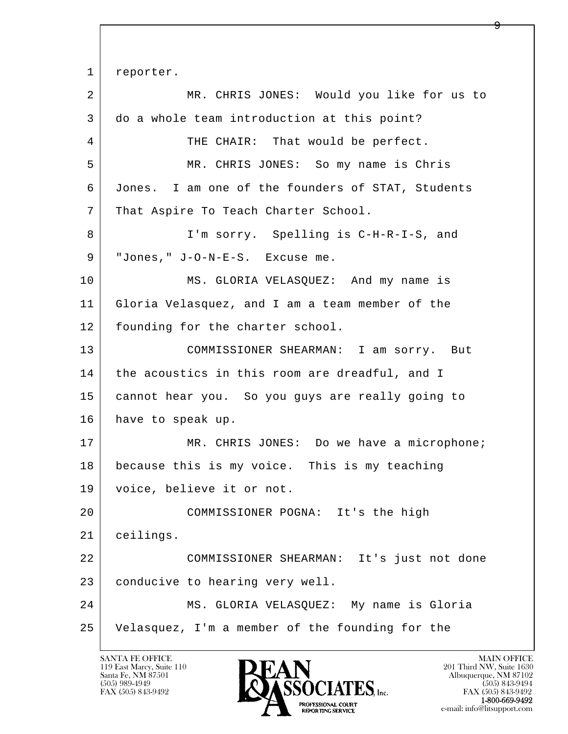l  $\overline{\phantom{a}}$ 1 reporter. 2 MR. CHRIS JONES: Would you like for us to 3 do a whole team introduction at this point? 4 THE CHAIR: That would be perfect. 5 MR. CHRIS JONES: So my name is Chris 6 Jones. I am one of the founders of STAT, Students 7 | That Aspire To Teach Charter School. 8 I'm sorry. Spelling is C-H-R-I-S, and 9 "Jones," J-O-N-E-S. Excuse me. 10 MS. GLORIA VELASQUEZ: And my name is 11 Gloria Velasquez, and I am a team member of the 12 founding for the charter school. 13 COMMISSIONER SHEARMAN: I am sorry. But 14 the acoustics in this room are dreadful, and I 15 cannot hear you. So you guys are really going to 16 have to speak up. 17 | MR. CHRIS JONES: Do we have a microphone; 18 because this is my voice. This is my teaching 19 voice, believe it or not. 20 COMMISSIONER POGNA: It's the high 21 ceilings. 22 COMMISSIONER SHEARMAN: It's just not done 23 conducive to hearing very well. 24 MS. GLORIA VELASQUEZ: My name is Gloria 25 Velasquez, I'm a member of the founding for the

119 East Marcy, Suite 110<br>Santa Fe, NM 87501

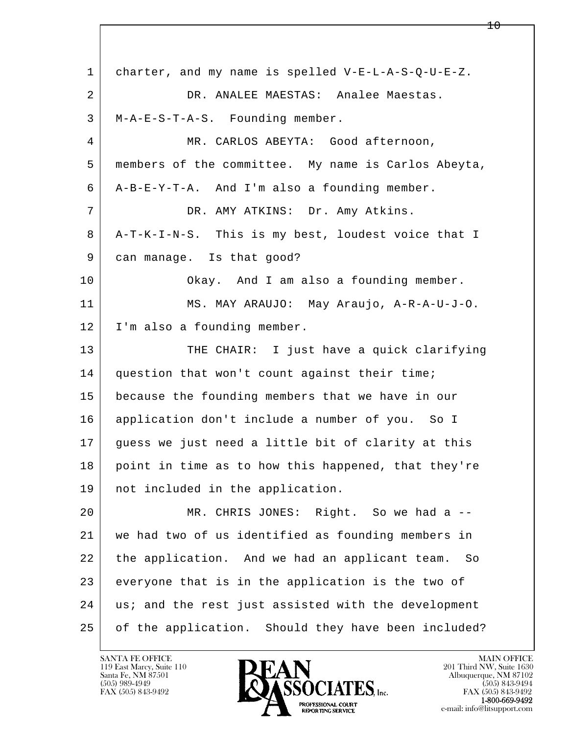l  $\overline{\phantom{a}}$  1 charter, and my name is spelled V-E-L-A-S-Q-U-E-Z. 2 DR. ANALEE MAESTAS: Analee Maestas. 3 M-A-E-S-T-A-S. Founding member. 4 MR. CARLOS ABEYTA: Good afternoon, 5 members of the committee. My name is Carlos Abeyta, 6 A-B-E-Y-T-A. And I'm also a founding member. 7 DR. AMY ATKINS: Dr. Amy Atkins. 8 A-T-K-I-N-S. This is my best, loudest voice that I 9 can manage. Is that good? 10 Okay. And I am also a founding member. 11 MS. MAY ARAUJO: May Araujo, A-R-A-U-J-O. 12 I'm also a founding member. 13 THE CHAIR: I just have a quick clarifying 14 | question that won't count against their time; 15 because the founding members that we have in our 16 application don't include a number of you. So I 17 guess we just need a little bit of clarity at this 18 point in time as to how this happened, that they're 19 not included in the application. 20 MR. CHRIS JONES: Right. So we had a -- 21 we had two of us identified as founding members in 22 the application. And we had an applicant team. So 23 | everyone that is in the application is the two of 24 | us; and the rest just assisted with the development 25 of the application. Should they have been included?

119 East Marcy, Suite 110<br>Santa Fe, NM 87501



 $10 \,$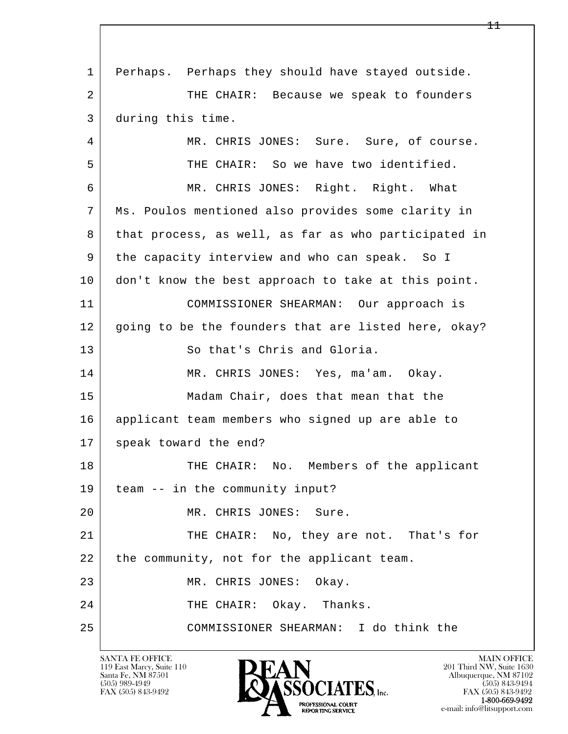l  $\overline{\phantom{a}}$  1 Perhaps. Perhaps they should have stayed outside. 2 THE CHAIR: Because we speak to founders 3 during this time. 4 MR. CHRIS JONES: Sure. Sure, of course. 5 THE CHAIR: So we have two identified. 6 MR. CHRIS JONES: Right. Right. What 7 Ms. Poulos mentioned also provides some clarity in 8 that process, as well, as far as who participated in 9 the capacity interview and who can speak. So I 10 don't know the best approach to take at this point. 11 COMMISSIONER SHEARMAN: Our approach is 12 going to be the founders that are listed here, okay? 13 So that's Chris and Gloria. 14 MR. CHRIS JONES: Yes, ma'am. Okay. 15 Madam Chair, does that mean that the 16 applicant team members who signed up are able to 17 speak toward the end? 18 THE CHAIR: No. Members of the applicant 19 team -- in the community input? 20 MR. CHRIS JONES: Sure. 21 THE CHAIR: No, they are not. That's for  $22$  the community, not for the applicant team. 23 MR. CHRIS JONES: Okay. 24 THE CHAIR: Okay. Thanks. 25 COMMISSIONER SHEARMAN: I do think the

119 East Marcy, Suite 110<br>Santa Fe, NM 87501

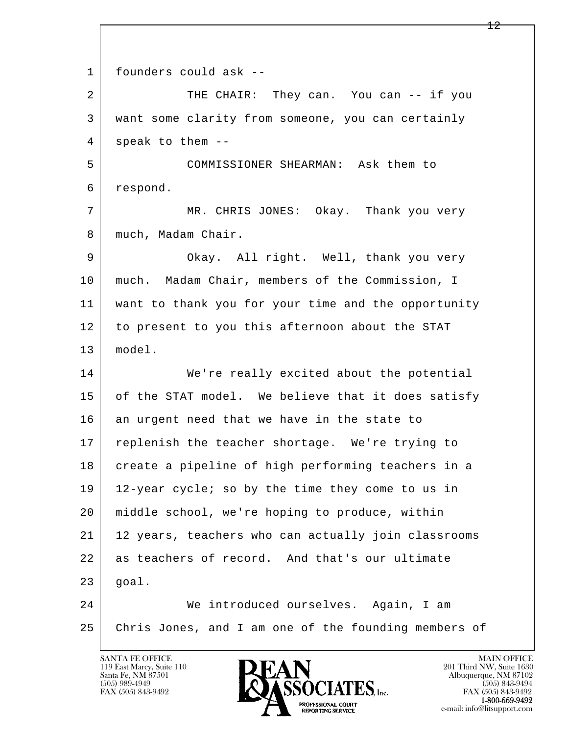l  $\overline{\phantom{a}}$ 1 founders could ask --2 THE CHAIR: They can. You can -- if you 3 want some clarity from someone, you can certainly  $4 \mid$  speak to them -- 5 COMMISSIONER SHEARMAN: Ask them to 6 respond. 7 MR. CHRIS JONES: Okay. Thank you very 8 | much, Madam Chair. 9 | Okay. All right. Well, thank you very 10 | much. Madam Chair, members of the Commission, I 11 want to thank you for your time and the opportunity 12 to present to you this afternoon about the STAT 13 model. 14 We're really excited about the potential 15 of the STAT model. We believe that it does satisfy  $16$  an urgent need that we have in the state to 17 replenish the teacher shortage. We're trying to 18 create a pipeline of high performing teachers in a 19 12-year cycle; so by the time they come to us in 20 middle school, we're hoping to produce, within 21 12 years, teachers who can actually join classrooms 22 as teachers of record. And that's our ultimate  $23$  goal. 24 We introduced ourselves. Again, I am 25 Chris Jones, and I am one of the founding members of

119 East Marcy, Suite 110<br>Santa Fe, NM 87501



FAX (505) 843-9492 FAX (505) 843-9492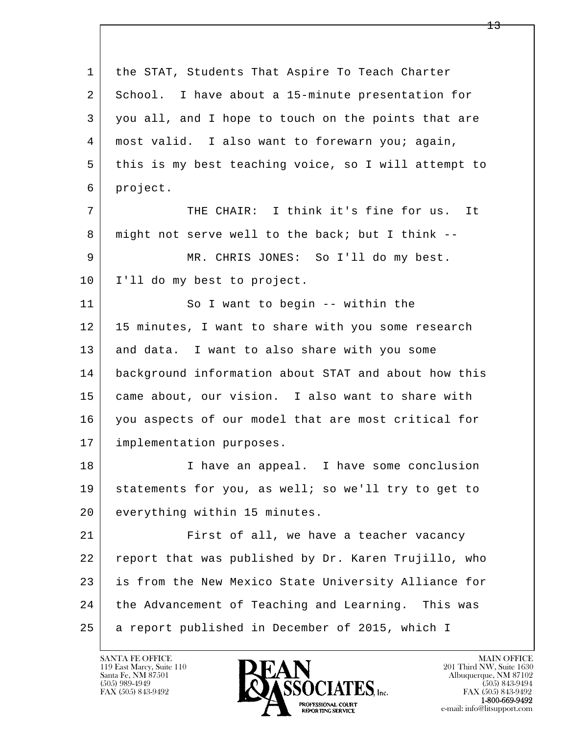| $\mathbf 1$ | the STAT, Students That Aspire To Teach Charter      |
|-------------|------------------------------------------------------|
| 2           | School. I have about a 15-minute presentation for    |
| 3           | you all, and I hope to touch on the points that are  |
| 4           | most valid. I also want to forewarn you; again,      |
| 5           | this is my best teaching voice, so I will attempt to |
| 6           | project.                                             |
| 7           | THE CHAIR: I think it's fine for us. It              |
| 8           | might not serve well to the back; but I think --     |
| 9           | MR. CHRIS JONES: So I'll do my best.                 |
| 10          | I'll do my best to project.                          |
| 11          | So I want to begin -- within the                     |
| 12          | 15 minutes, I want to share with you some research   |
| 13          | and data. I want to also share with you some         |
| 14          | background information about STAT and about how this |
| 15          | came about, our vision. I also want to share with    |
| 16          | you aspects of our model that are most critical for  |
| 17          | implementation purposes.                             |
| 18          | I have an appeal. I have some conclusion             |
| 19          | statements for you, as well; so we'll try to get to  |
| 20          | everything within 15 minutes.                        |
| 21          | First of all, we have a teacher vacancy              |
| 22          | report that was published by Dr. Karen Trujillo, who |
| 23          | is from the New Mexico State University Alliance for |
| 24          | the Advancement of Teaching and Learning. This was   |
| 25          | a report published in December of 2015, which I      |

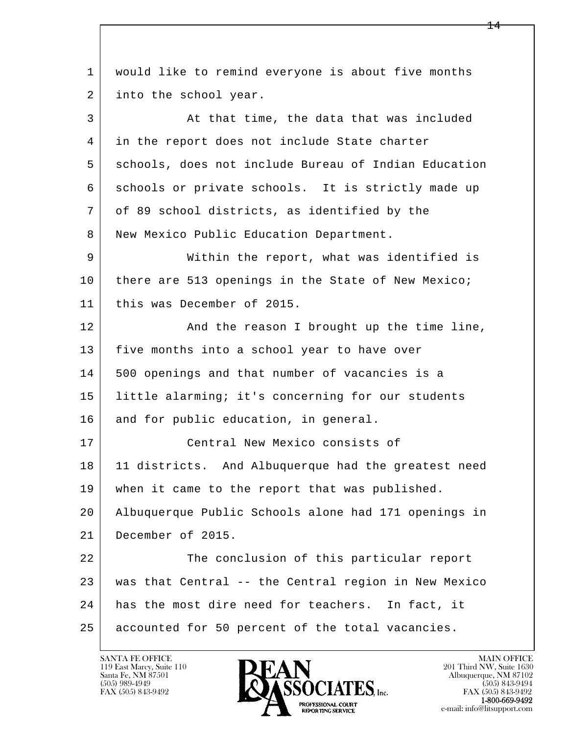l  $\overline{\phantom{a}}$  1 would like to remind everyone is about five months 2 into the school year. 3 At that time, the data that was included 4 in the report does not include State charter 5 schools, does not include Bureau of Indian Education 6 schools or private schools. It is strictly made up 7 of 89 school districts, as identified by the 8 | New Mexico Public Education Department. 9 Within the report, what was identified is 10 there are 513 openings in the State of New Mexico; 11 this was December of 2015. 12 And the reason I brought up the time line, 13 | five months into a school year to have over 14 | 500 openings and that number of vacancies is a 15 little alarming; it's concerning for our students 16 and for public education, in general. 17 Central New Mexico consists of 18 | 11 districts. And Albuquerque had the greatest need 19 when it came to the report that was published. 20 Albuquerque Public Schools alone had 171 openings in 21 December of 2015. 22 The conclusion of this particular report 23 was that Central -- the Central region in New Mexico 24 has the most dire need for teachers. In fact, it 25 accounted for 50 percent of the total vacancies.

119 East Marcy, Suite 110<br>Santa Fe, NM 87501

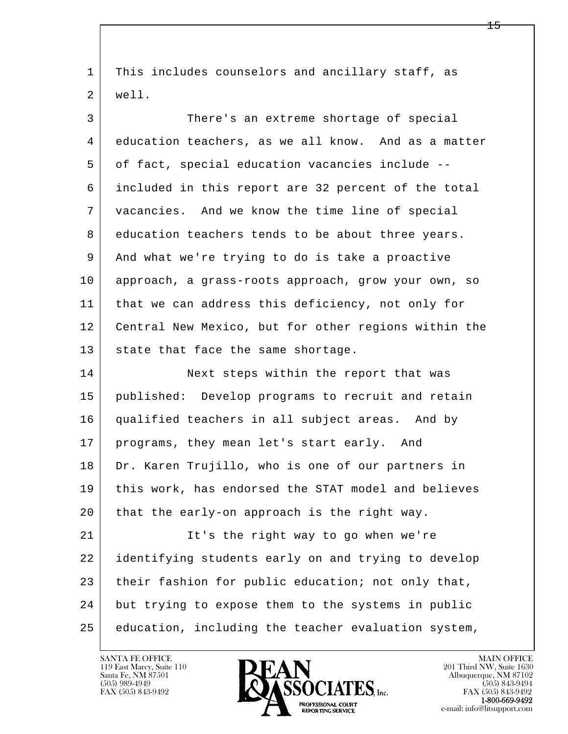| $\mathbf{1}$ | This includes counselors and ancillary staff, as     |
|--------------|------------------------------------------------------|
| 2            | well.                                                |
| 3            | There's an extreme shortage of special               |
| 4            | education teachers, as we all know. And as a matter  |
| 5            | of fact, special education vacancies include --      |
| 6            | included in this report are 32 percent of the total  |
| 7            | vacancies. And we know the time line of special      |
| 8            | education teachers tends to be about three years.    |
| 9            | And what we're trying to do is take a proactive      |
| 10           | approach, a grass-roots approach, grow your own, so  |
| 11           | that we can address this deficiency, not only for    |
| 12           | Central New Mexico, but for other regions within the |
| 13           | state that face the same shortage.                   |
| 14           | Next steps within the report that was                |
| 15           | published: Develop programs to recruit and retain    |
| 16           | qualified teachers in all subject areas. And by      |
| 17           | programs, they mean let's start early. And           |
| 18           | Dr. Karen Trujillo, who is one of our partners in    |
| 19           | this work, has endorsed the STAT model and believes  |
| 20           | that the early-on approach is the right way.         |
| 21           | It's the right way to go when we're                  |
| 22           | identifying students early on and trying to develop  |
| 23           | their fashion for public education; not only that,   |
| 24           | but trying to expose them to the systems in public   |
| 25           | education, including the teacher evaluation system,  |

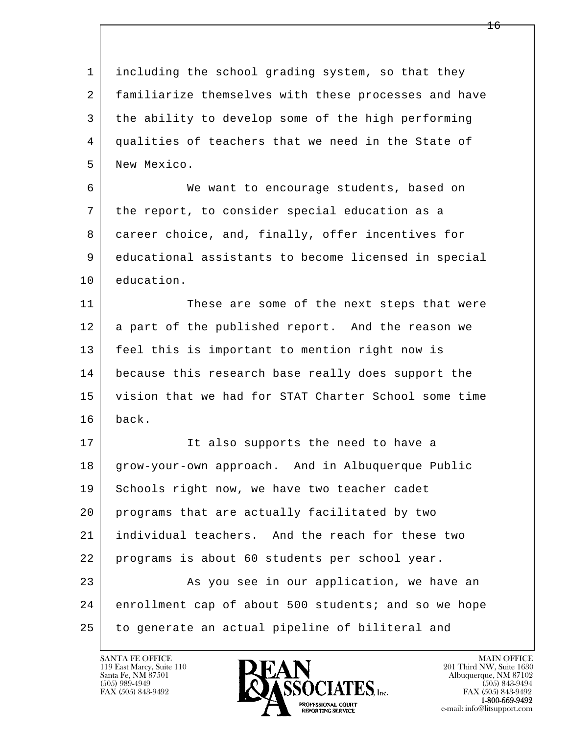l  $\overline{\phantom{a}}$  1 including the school grading system, so that they 2 familiarize themselves with these processes and have 3 the ability to develop some of the high performing 4 qualities of teachers that we need in the State of 5 New Mexico. 6 We want to encourage students, based on 7 the report, to consider special education as a 8 career choice, and, finally, offer incentives for 9 educational assistants to become licensed in special 10 education. 11 These are some of the next steps that were 12 a part of the published report. And the reason we 13 feel this is important to mention right now is 14 because this research base really does support the 15 vision that we had for STAT Charter School some time 16 back. 17 | The It also supports the need to have a 18 | grow-your-own approach. And in Albuquerque Public 19 Schools right now, we have two teacher cadet 20 programs that are actually facilitated by two 21 individual teachers. And the reach for these two 22 programs is about 60 students per school year. 23 | As you see in our application, we have an 24 enrollment cap of about 500 students; and so we hope 25 | to generate an actual pipeline of biliteral and

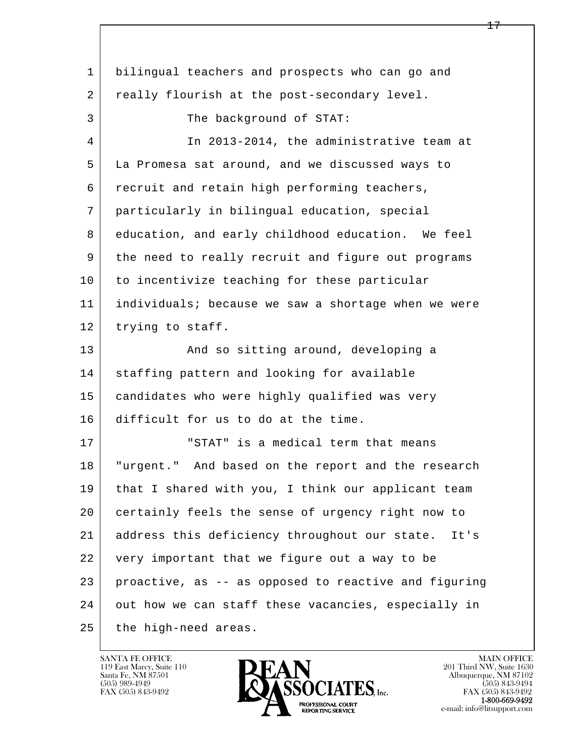| $\mathbf{1}$ | bilingual teachers and prospects who can go and       |
|--------------|-------------------------------------------------------|
| 2            | really flourish at the post-secondary level.          |
| 3            | The background of STAT:                               |
| 4            | In 2013-2014, the administrative team at              |
| 5            | La Promesa sat around, and we discussed ways to       |
| 6            | recruit and retain high performing teachers,          |
| 7            | particularly in bilingual education, special          |
| 8            | education, and early childhood education. We feel     |
| 9            | the need to really recruit and figure out programs    |
| 10           | to incentivize teaching for these particular          |
| 11           | individuals; because we saw a shortage when we were   |
| 12           | trying to staff.                                      |
| 13           | And so sitting around, developing a                   |
| 14           | staffing pattern and looking for available            |
| 15           | candidates who were highly qualified was very         |
| 16           | difficult for us to do at the time.                   |
| 17           | "STAT" is a medical term that means                   |
| 18           | "urgent." And based on the report and the research    |
| 19           | that I shared with you, I think our applicant team    |
| 20           | certainly feels the sense of urgency right now to     |
| 21           | address this deficiency throughout our state.<br>It's |
| 22           | very important that we figure out a way to be         |
| 23           | proactive, as -- as opposed to reactive and figuring  |
| 24           | out how we can staff these vacancies, especially in   |
| 25           | the high-need areas.                                  |

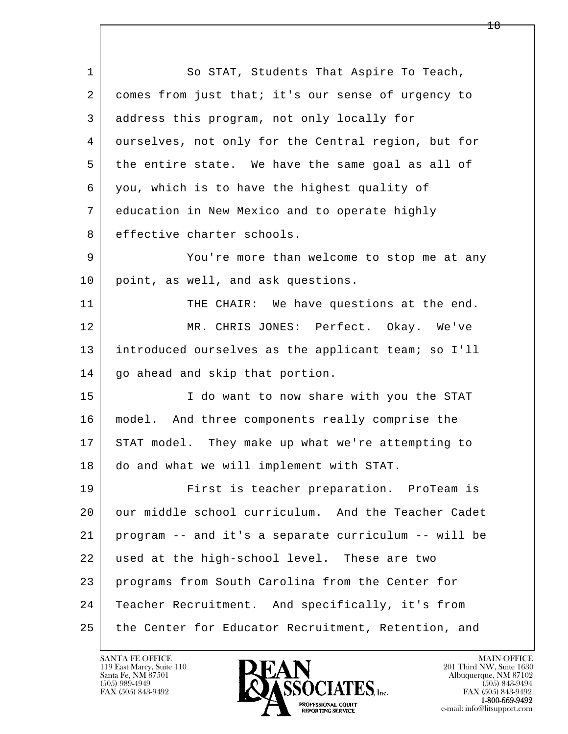l  $\overline{\phantom{a}}$ 1 So STAT, Students That Aspire To Teach, 2 comes from just that; it's our sense of urgency to 3 address this program, not only locally for 4 ourselves, not only for the Central region, but for 5 the entire state. We have the same goal as all of 6 you, which is to have the highest quality of 7 education in New Mexico and to operate highly 8 | effective charter schools. 9 You're more than welcome to stop me at any 10 point, as well, and ask questions. 11 THE CHAIR: We have questions at the end. 12 MR. CHRIS JONES: Perfect. Okay. We've 13 introduced ourselves as the applicant team; so I'll 14 | go ahead and skip that portion. 15 | I do want to now share with you the STAT 16 model. And three components really comprise the 17 STAT model. They make up what we're attempting to 18 do and what we will implement with STAT. 19 First is teacher preparation. ProTeam is 20 our middle school curriculum. And the Teacher Cadet 21 program -- and it's a separate curriculum -- will be 22 used at the high-school level. These are two 23 programs from South Carolina from the Center for 24 | Teacher Recruitment. And specifically, it's from 25 the Center for Educator Recruitment, Retention, and

119 East Marcy, Suite 110<br>Santa Fe, NM 87501

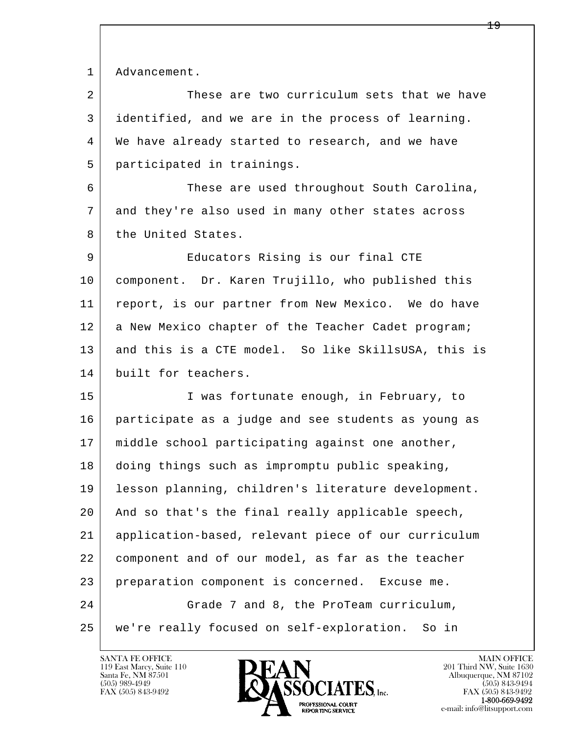1 Advancement.

| ᆠ              | Advancement.                                        |
|----------------|-----------------------------------------------------|
| $\overline{a}$ | These are two curriculum sets that we have          |
| 3              | identified, and we are in the process of learning.  |
| 4              | We have already started to research, and we have    |
| 5              | participated in trainings.                          |
| 6              | These are used throughout South Carolina,           |
| 7              | and they're also used in many other states across   |
| 8              | the United States.                                  |
| 9              | Educators Rising is our final CTE                   |
| 10             | component. Dr. Karen Trujillo, who published this   |
| 11             | report, is our partner from New Mexico. We do have  |
| 12             | a New Mexico chapter of the Teacher Cadet program;  |
| 13             | and this is a CTE model. So like SkillsUSA, this is |
| 14             | built for teachers.                                 |
| 15             | I was fortunate enough, in February, to             |
| 16             | participate as a judge and see students as young as |
| 17             | middle school participating against one another,    |
| 18             | doing things such as impromptu public speaking,     |
| 19             | lesson planning, children's literature development. |
| 20             | And so that's the final really applicable speech,   |
| 21             | application-based, relevant piece of our curriculum |
|                |                                                     |

l  $\overline{\phantom{a}}$  22 component and of our model, as far as the teacher 23 preparation component is concerned. Excuse me. 24 Grade 7 and 8, the ProTeam curriculum, 25 we're really focused on self-exploration. So in



e-mail: info@litsupport.com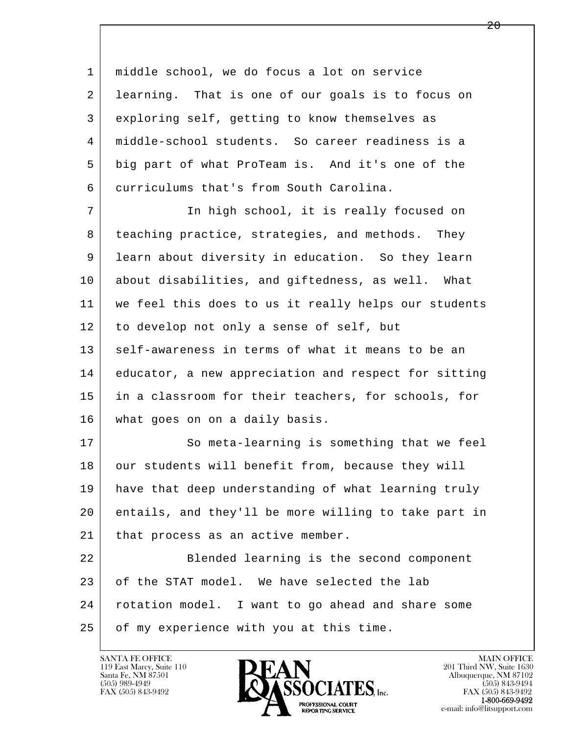l  $\overline{\phantom{a}}$  1 middle school, we do focus a lot on service 2 learning. That is one of our goals is to focus on 3 exploring self, getting to know themselves as 4 middle-school students. So career readiness is a 5 big part of what ProTeam is. And it's one of the 6 curriculums that's from South Carolina. 7 In high school, it is really focused on 8 | teaching practice, strategies, and methods. They 9 learn about diversity in education. So they learn 10 about disabilities, and giftedness, as well. What 11 we feel this does to us it really helps our students 12 to develop not only a sense of self, but 13 self-awareness in terms of what it means to be an 14 educator, a new appreciation and respect for sitting 15 in a classroom for their teachers, for schools, for 16 what goes on on a daily basis. 17 So meta-learning is something that we feel 18 our students will benefit from, because they will 19 have that deep understanding of what learning truly 20 entails, and they'll be more willing to take part in 21 | that process as an active member. 22 Blended learning is the second component 23 of the STAT model. We have selected the lab 24 rotation model. I want to go ahead and share some 25 | of my experience with you at this time.

119 East Marcy, Suite 110<br>Santa Fe, NM 87501

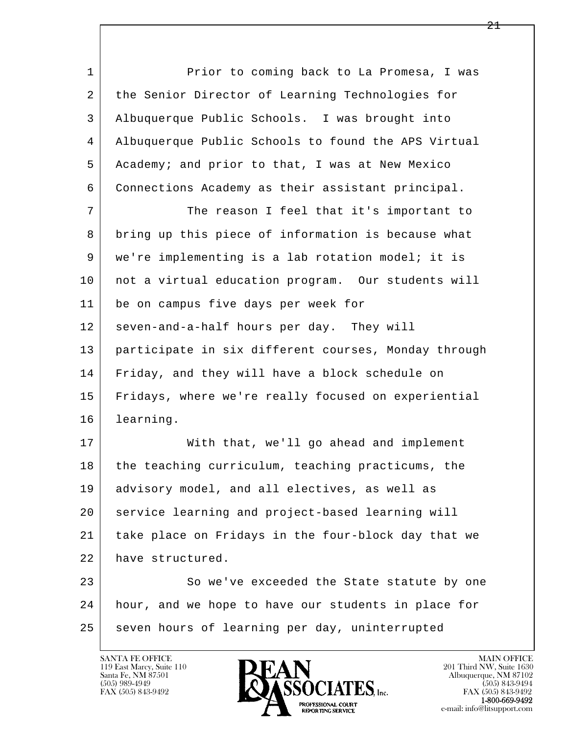1 Prior to coming back to La Promesa, I was 2 the Senior Director of Learning Technologies for 3 Albuquerque Public Schools. I was brought into 4 Albuquerque Public Schools to found the APS Virtual 5 Academy; and prior to that, I was at New Mexico 6 Connections Academy as their assistant principal.

7 The reason I feel that it's important to 8 bring up this piece of information is because what 9 we're implementing is a lab rotation model; it is 10 | not a virtual education program. Our students will 11 be on campus five days per week for 12 seven-and-a-half hours per day. They will 13 participate in six different courses, Monday through 14 Friday, and they will have a block schedule on 15 Fridays, where we're really focused on experiential 16 learning.

17 | With that, we'll go ahead and implement 18 the teaching curriculum, teaching practicums, the 19 advisory model, and all electives, as well as 20 service learning and project-based learning will 21 take place on Fridays in the four-block day that we 22 have structured.

l  $\overline{\phantom{a}}$ 23 So we've exceeded the State statute by one 24 hour, and we hope to have our students in place for 25 seven hours of learning per day, uninterrupted

119 East Marcy, Suite 110<br>Santa Fe, NM 87501

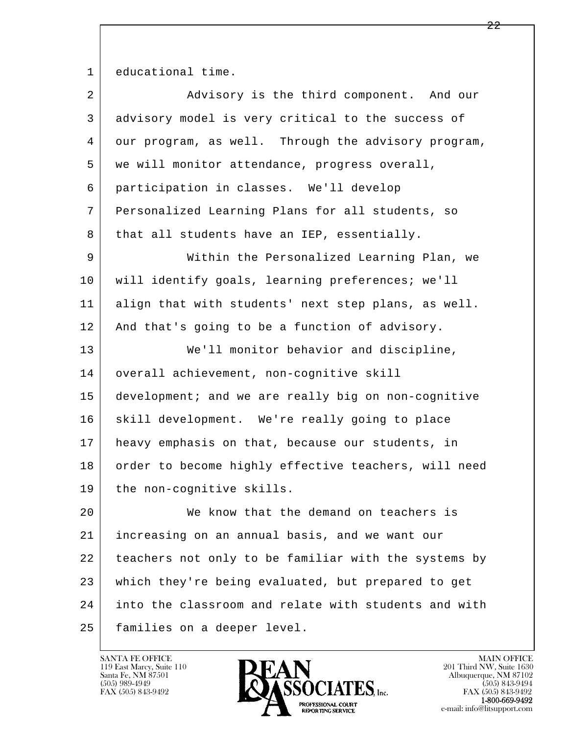1 educational time.

| 2  | Advisory is the third component. And our             |
|----|------------------------------------------------------|
| 3  | advisory model is very critical to the success of    |
| 4  | our program, as well. Through the advisory program,  |
| 5  | we will monitor attendance, progress overall,        |
| 6  | participation in classes. We'll develop              |
| 7  | Personalized Learning Plans for all students, so     |
| 8  | that all students have an IEP, essentially.          |
| 9  | Within the Personalized Learning Plan, we            |
| 10 | will identify goals, learning preferences; we'll     |
| 11 | align that with students' next step plans, as well.  |
| 12 | And that's going to be a function of advisory.       |
| 13 | We'll monitor behavior and discipline,               |
| 14 | overall achievement, non-cognitive skill             |
| 15 | development; and we are really big on non-cognitive  |
| 16 | skill development. We're really going to place       |
| 17 | heavy emphasis on that, because our students, in     |
| 18 | order to become highly effective teachers, will need |
| 19 | the non-cognitive skills.                            |
| 20 | We know that the demand on teachers is               |
| 21 | increasing on an annual basis, and we want our       |
| 22 | teachers not only to be familiar with the systems by |
| 23 | which they're being evaluated, but prepared to get   |
| 24 | into the classroom and relate with students and with |
| 25 | families on a deeper level.                          |

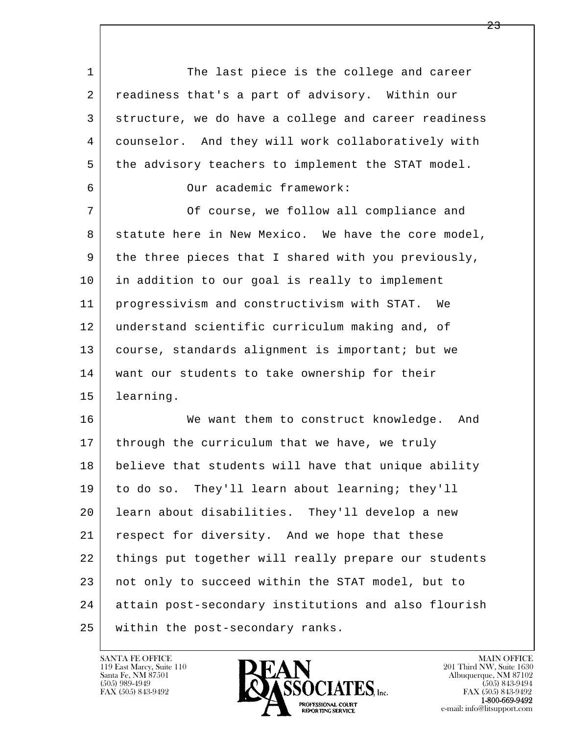l  $\overline{\phantom{a}}$ 1 The last piece is the college and career 2 readiness that's a part of advisory. Within our 3 structure, we do have a college and career readiness 4 counselor. And they will work collaboratively with 5 the advisory teachers to implement the STAT model. 6 Our academic framework: 7 Of course, we follow all compliance and 8 statute here in New Mexico. We have the core model, 9 the three pieces that I shared with you previously, 10 in addition to our goal is really to implement 11 progressivism and constructivism with STAT. We 12 understand scientific curriculum making and, of 13 | course, standards alignment is important; but we 14 | want our students to take ownership for their 15 learning. 16 We want them to construct knowledge. And 17 | through the curriculum that we have, we truly 18 believe that students will have that unique ability 19 to do so. They'll learn about learning; they'll 20 learn about disabilities. They'll develop a new 21 respect for diversity. And we hope that these 22 things put together will really prepare our students 23 not only to succeed within the STAT model, but to 24 attain post-secondary institutions and also flourish 25 within the post-secondary ranks.

119 East Marcy, Suite 110<br>Santa Fe, NM 87501

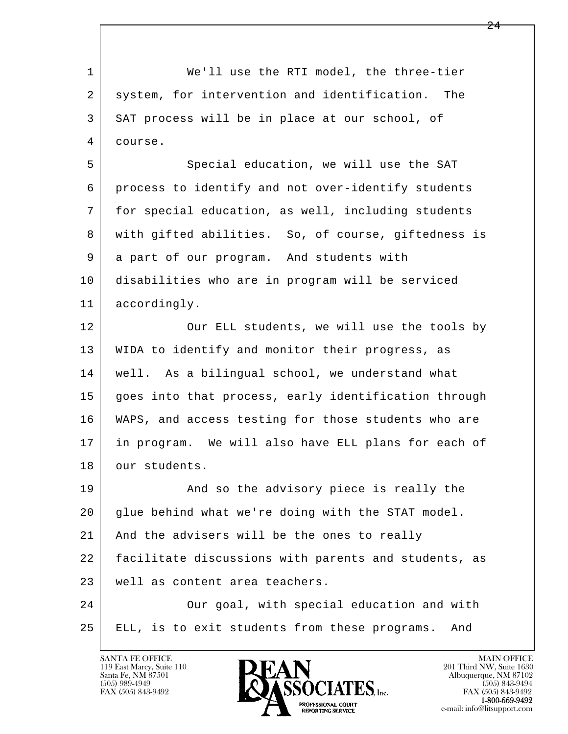l  $\overline{\phantom{a}}$ 1 We'll use the RTI model, the three-tier 2 system, for intervention and identification. The 3 SAT process will be in place at our school, of 4 course. 5 Special education, we will use the SAT 6 process to identify and not over-identify students 7 | for special education, as well, including students 8 | with gifted abilities. So, of course, giftedness is 9 a part of our program. And students with 10 disabilities who are in program will be serviced 11 accordingly. 12 Our ELL students, we will use the tools by 13 WIDA to identify and monitor their progress, as 14 | well. As a bilingual school, we understand what 15 goes into that process, early identification through 16 WAPS, and access testing for those students who are 17 in program. We will also have ELL plans for each of 18 our students. 19 | The And so the advisory piece is really the 20 glue behind what we're doing with the STAT model. 21 And the advisers will be the ones to really 22 facilitate discussions with parents and students, as 23 well as content area teachers. 24 | Cur goal, with special education and with 25 ELL, is to exit students from these programs. And

119 East Marcy, Suite 110<br>Santa Fe, NM 87501

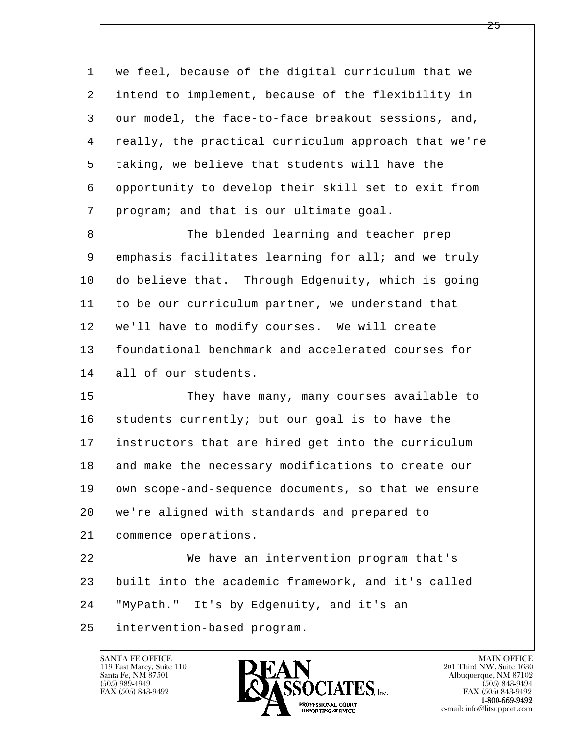| 1  | we feel, because of the digital curriculum that we   |
|----|------------------------------------------------------|
| 2  | intend to implement, because of the flexibility in   |
| 3  | our model, the face-to-face breakout sessions, and,  |
| 4  | really, the practical curriculum approach that we're |
| 5  | taking, we believe that students will have the       |
| 6  | opportunity to develop their skill set to exit from  |
| 7  | program; and that is our ultimate goal.              |
| 8  | The blended learning and teacher prep                |
| 9  | emphasis facilitates learning for all; and we truly  |
| 10 | do believe that. Through Edgenuity, which is going   |
| 11 | to be our curriculum partner, we understand that     |
| 12 | we'll have to modify courses. We will create         |
| 13 | foundational benchmark and accelerated courses for   |
| 14 | all of our students.                                 |
| 15 | They have many, many courses available to            |
| 16 | students currently; but our goal is to have the      |
| 17 | instructors that are hired get into the curriculum   |
| 18 | and make the necessary modifications to create our   |
| 19 | own scope-and-sequence documents, so that we ensure  |
| 20 | we're aligned with standards and prepared to         |
| 21 | commence operations.                                 |
| 22 | We have an intervention program that's               |
| 23 | built into the academic framework, and it's called   |
| 24 | "MyPath." It's by Edgenuity, and it's an             |
| 25 | intervention-based program.                          |

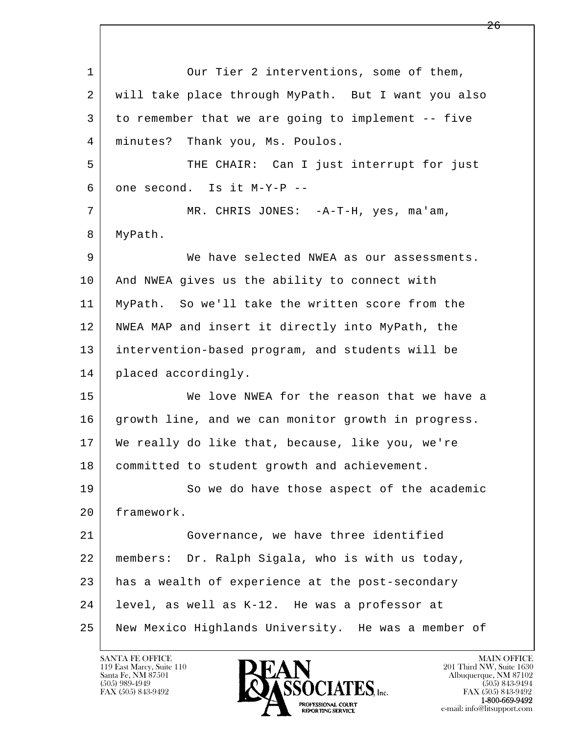l  $\overline{\phantom{a}}$ 1 Our Tier 2 interventions, some of them, 2 will take place through MyPath. But I want you also 3 to remember that we are going to implement -- five 4 minutes? Thank you, Ms. Poulos. 5 | THE CHAIR: Can I just interrupt for just  $6$  one second. Is it M-Y-P --7 | MR. CHRIS JONES: -A-T-H, yes, ma'am, 8 | MyPath. 9 We have selected NWEA as our assessments. 10 | And NWEA gives us the ability to connect with 11 MyPath. So we'll take the written score from the 12 NWEA MAP and insert it directly into MyPath, the 13 intervention-based program, and students will be 14 | placed accordingly. 15 We love NWEA for the reason that we have a 16 growth line, and we can monitor growth in progress. 17 We really do like that, because, like you, we're 18 committed to student growth and achievement. 19 So we do have those aspect of the academic 20 framework. 21 Governance, we have three identified 22 members: Dr. Ralph Sigala, who is with us today,  $23$  has a wealth of experience at the post-secondary 24 level, as well as K-12. He was a professor at 25 New Mexico Highlands University. He was a member of

119 East Marcy, Suite 110<br>Santa Fe, NM 87501

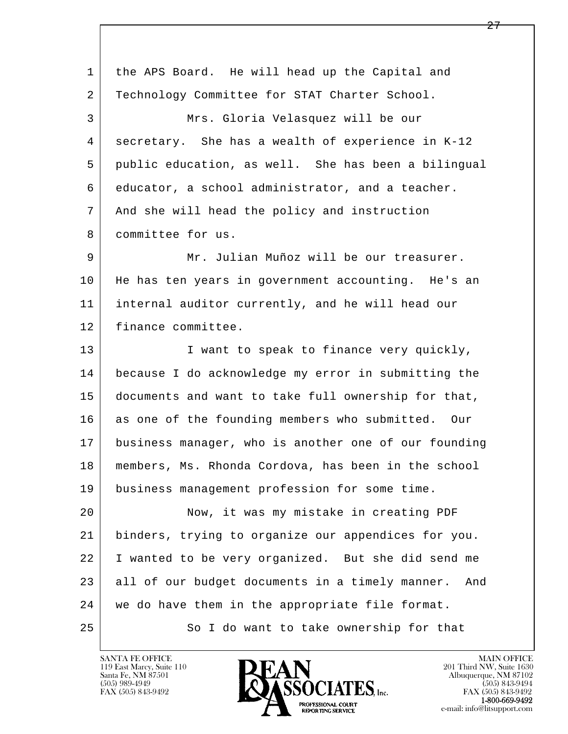| 1  | the APS Board. He will head up the Capital and         |
|----|--------------------------------------------------------|
| 2  | Technology Committee for STAT Charter School.          |
| 3  | Mrs. Gloria Velasquez will be our                      |
| 4  | secretary. She has a wealth of experience in K-12      |
| 5  | public education, as well. She has been a bilingual    |
| 6  | educator, a school administrator, and a teacher.       |
| 7  | And she will head the policy and instruction           |
| 8  | committee for us.                                      |
| 9  | Mr. Julian Muñoz will be our treasurer.                |
| 10 | He has ten years in government accounting. He's an     |
| 11 | internal auditor currently, and he will head our       |
| 12 | finance committee.                                     |
| 13 | I want to speak to finance very quickly,               |
| 14 | because I do acknowledge my error in submitting the    |
| 15 | documents and want to take full ownership for that,    |
| 16 | as one of the founding members who submitted. Our      |
| 17 | business manager, who is another one of our founding   |
| 18 | members, Ms. Rhonda Cordova, has been in the school    |
| 19 | business management profession for some time.          |
| 20 | Now, it was my mistake in creating PDF                 |
| 21 | binders, trying to organize our appendices for you.    |
| 22 | I wanted to be very organized. But she did send me     |
| 23 | all of our budget documents in a timely manner.<br>And |
| 24 | we do have them in the appropriate file format.        |
| 25 | So I do want to take ownership for that                |
|    |                                                        |

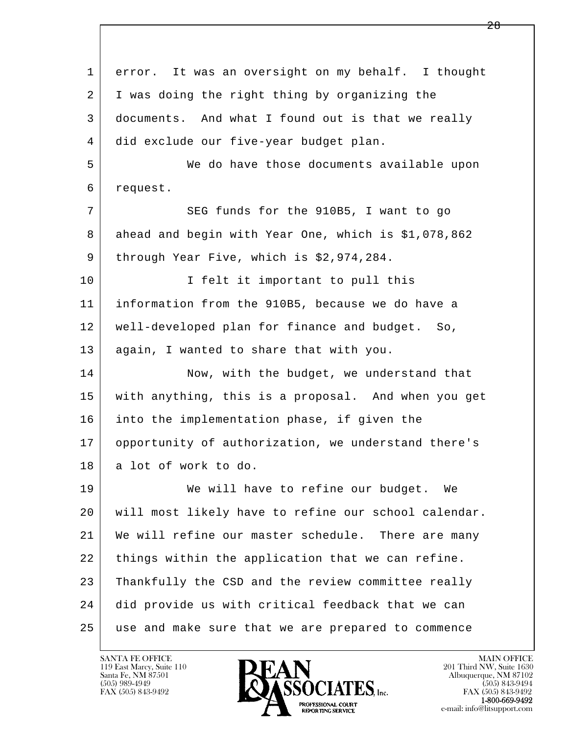l  $\overline{\phantom{a}}$  1 error. It was an oversight on my behalf. I thought 2 I was doing the right thing by organizing the 3 documents. And what I found out is that we really 4 did exclude our five-year budget plan. 5 We do have those documents available upon 6 request. 7 SEG funds for the 910B5, I want to go 8 ahead and begin with Year One, which is \$1,078,862 9 through Year Five, which is \$2,974,284. 10 I felt it important to pull this 11 information from the 910B5, because we do have a 12 well-developed plan for finance and budget. So, 13 | again, I wanted to share that with you. 14 Now, with the budget, we understand that 15 with anything, this is a proposal. And when you get 16 into the implementation phase, if given the 17 opportunity of authorization, we understand there's 18 a lot of work to do. 19 We will have to refine our budget. We 20 will most likely have to refine our school calendar. 21 | We will refine our master schedule. There are many 22 things within the application that we can refine. 23 Thankfully the CSD and the review committee really 24 did provide us with critical feedback that we can 25 use and make sure that we are prepared to commence

119 East Marcy, Suite 110<br>Santa Fe, NM 87501



FAX (505) 843-9492<br>1-800-669-9492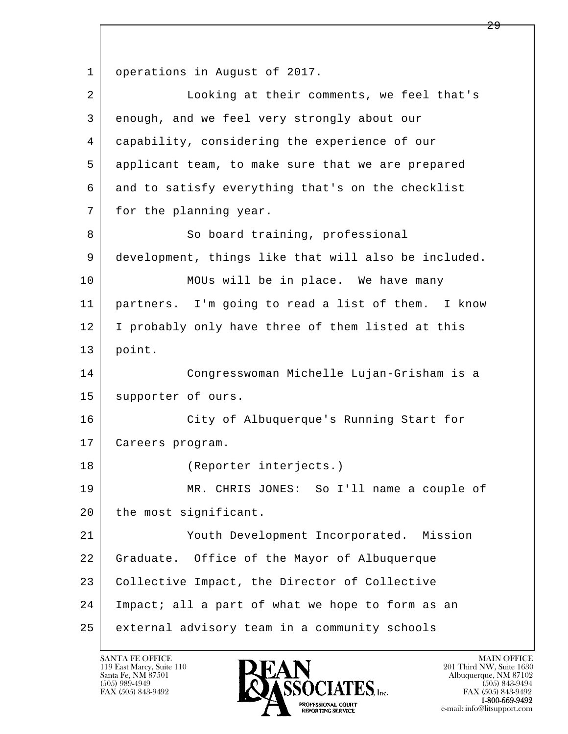l  $\overline{\phantom{a}}$ 1 | operations in August of 2017. 2 Looking at their comments, we feel that's 3 enough, and we feel very strongly about our 4 capability, considering the experience of our 5 applicant team, to make sure that we are prepared 6 and to satisfy everything that's on the checklist 7 for the planning year. 8 So board training, professional 9 development, things like that will also be included. 10 MOUs will be in place. We have many 11 partners. I'm going to read a list of them. I know 12 I probably only have three of them listed at this 13 point. 14 Congresswoman Michelle Lujan-Grisham is a 15 supporter of ours. 16 City of Albuquerque's Running Start for 17 Careers program. 18 (Reporter interjects.) 19 MR. CHRIS JONES: So I'll name a couple of 20 the most significant. 21 Youth Development Incorporated. Mission 22 Graduate. Office of the Mayor of Albuquerque 23 Collective Impact, the Director of Collective 24 Impact; all a part of what we hope to form as an 25 external advisory team in a community schools

119 East Marcy, Suite 110<br>Santa Fe, NM 87501

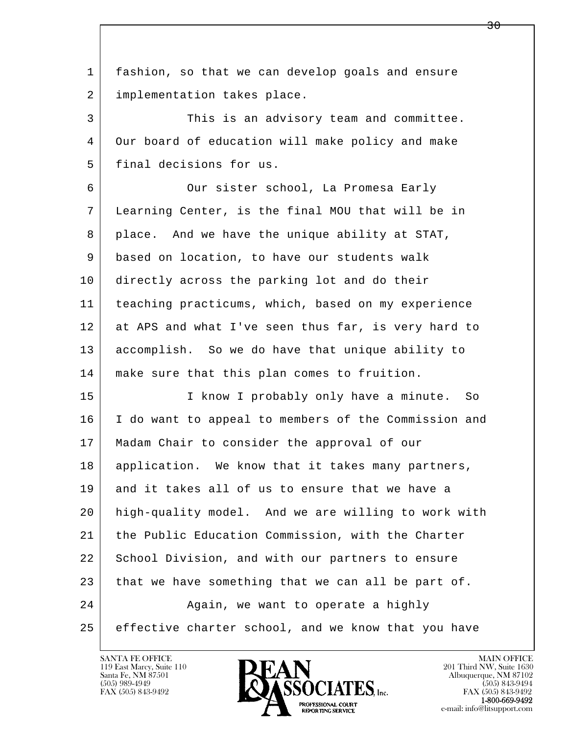l  $\overline{\phantom{a}}$  1 fashion, so that we can develop goals and ensure 2 | implementation takes place. 3 This is an advisory team and committee. 4 Our board of education will make policy and make 5 final decisions for us. 6 Our sister school, La Promesa Early 7 Learning Center, is the final MOU that will be in 8 place. And we have the unique ability at STAT, 9 based on location, to have our students walk 10 directly across the parking lot and do their 11 teaching practicums, which, based on my experience 12 at APS and what I've seen thus far, is very hard to 13 accomplish. So we do have that unique ability to 14 make sure that this plan comes to fruition. 15 | I know I probably only have a minute. So 16 I do want to appeal to members of the Commission and 17 | Madam Chair to consider the approval of our 18 | application. We know that it takes many partners, 19 and it takes all of us to ensure that we have a 20 high-quality model. And we are willing to work with 21 the Public Education Commission, with the Charter 22 School Division, and with our partners to ensure 23 that we have something that we can all be part of. 24 Again, we want to operate a highly 25 effective charter school, and we know that you have

119 East Marcy, Suite 110<br>Santa Fe, NM 87501

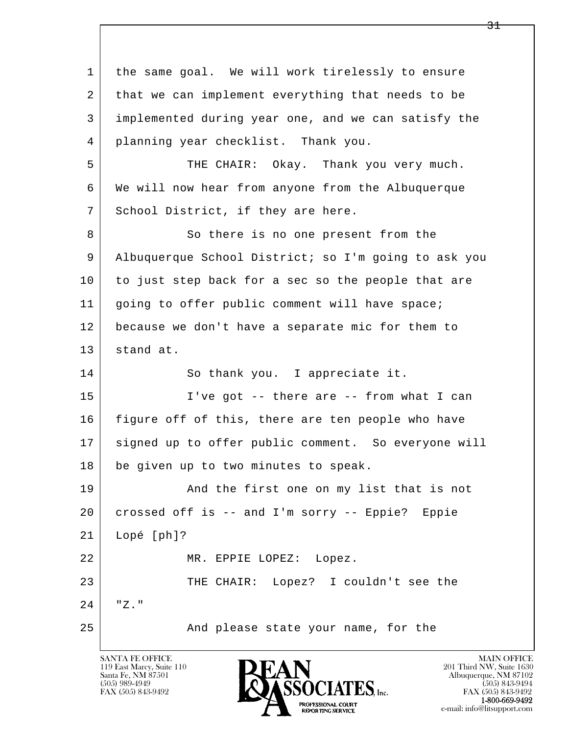l  $\overline{\phantom{a}}$  1 the same goal. We will work tirelessly to ensure 2 that we can implement everything that needs to be 3 implemented during year one, and we can satisfy the 4 planning year checklist. Thank you. 5 THE CHAIR: Okay. Thank you very much. 6 We will now hear from anyone from the Albuquerque 7 | School District, if they are here. 8 So there is no one present from the 9 Albuquerque School District; so I'm going to ask you 10 to just step back for a sec so the people that are 11 | going to offer public comment will have space; 12 because we don't have a separate mic for them to 13 stand at. 14 So thank you. I appreciate it. 15 | I've got -- there are -- from what I can 16 figure off of this, there are ten people who have 17 | signed up to offer public comment. So everyone will 18 be given up to two minutes to speak. 19 | And the first one on my list that is not 20 crossed off is -- and I'm sorry -- Eppie? Eppie 21 Lopé [ph]? 22 MR. EPPIE LOPEZ: Lopez. 23 | THE CHAIR: Lopez? I couldn't see the 24 "Z." 25 | The Mand please state your name, for the

119 East Marcy, Suite 110<br>Santa Fe, NM 87501



FAX (505) 843-9492<br>**1-800-669-9492**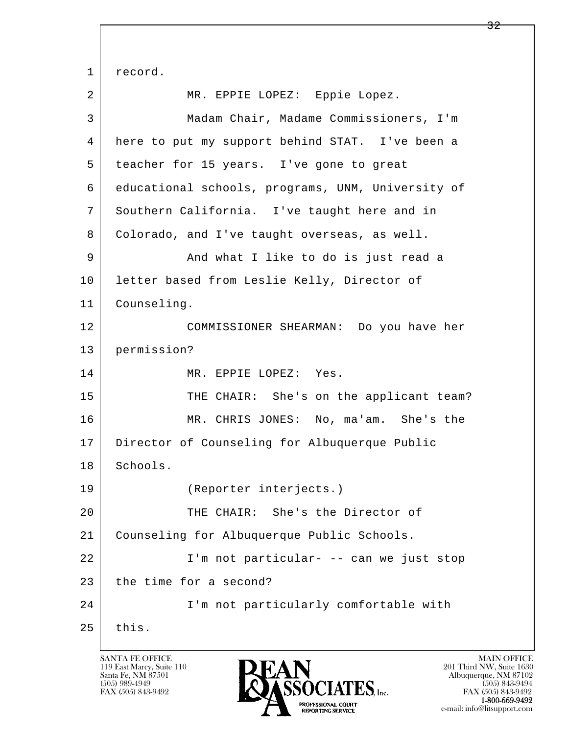l  $\overline{\phantom{a}}$ 1 record. 2 | MR. EPPIE LOPEZ: Eppie Lopez. 3 Madam Chair, Madame Commissioners, I'm 4 here to put my support behind STAT. I've been a 5 teacher for 15 years. I've gone to great 6 educational schools, programs, UNM, University of 7 Southern California. I've taught here and in 8 Colorado, and I've taught overseas, as well. 9 and what I like to do is just read a 10 letter based from Leslie Kelly, Director of 11 Counseling. 12 COMMISSIONER SHEARMAN: Do you have her 13 permission? 14 MR. EPPIE LOPEZ: Yes. 15 THE CHAIR: She's on the applicant team? 16 MR. CHRIS JONES: No, ma'am. She's the 17 Director of Counseling for Albuquerque Public 18 | Schools. 19 (Reporter interjects.) 20 THE CHAIR: She's the Director of 21 Counseling for Albuquerque Public Schools. 22 I'm not particular- -- can we just stop 23 the time for a second? 24 I'm not particularly comfortable with  $25$  this.

119 East Marcy, Suite 110<br>Santa Fe, NM 87501



FAX (505) 843-9492<br>1-800-669-9492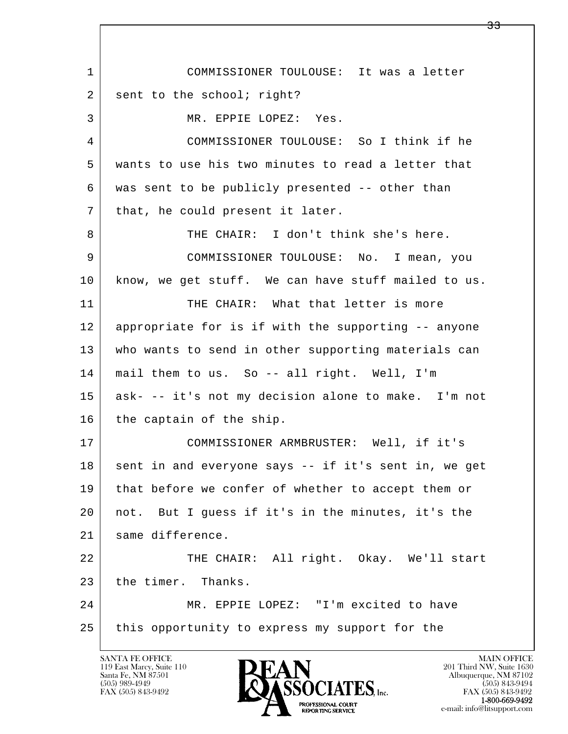l  $\overline{\phantom{a}}$  1 COMMISSIONER TOULOUSE: It was a letter 2 sent to the school; right? 3 MR. EPPIE LOPEZ: Yes. 4 COMMISSIONER TOULOUSE: So I think if he 5 wants to use his two minutes to read a letter that 6 was sent to be publicly presented -- other than  $7$  that, he could present it later. 8 THE CHAIR: I don't think she's here. 9 COMMISSIONER TOULOUSE: No. I mean, you 10 know, we get stuff. We can have stuff mailed to us. 11 THE CHAIR: What that letter is more 12 appropriate for is if with the supporting -- anyone 13 who wants to send in other supporting materials can 14 mail them to us. So -- all right. Well, I'm 15 ask- -- it's not my decision alone to make. I'm not 16 the captain of the ship. 17 COMMISSIONER ARMBRUSTER: Well, if it's 18 sent in and everyone says -- if it's sent in, we get 19 | that before we confer of whether to accept them or 20 not. But I guess if it's in the minutes, it's the 21 same difference. 22 THE CHAIR: All right. Okay. We'll start 23 the timer. Thanks. 24 MR. EPPIE LOPEZ: "I'm excited to have 25 this opportunity to express my support for the

119 East Marcy, Suite 110<br>Santa Fe, NM 87501

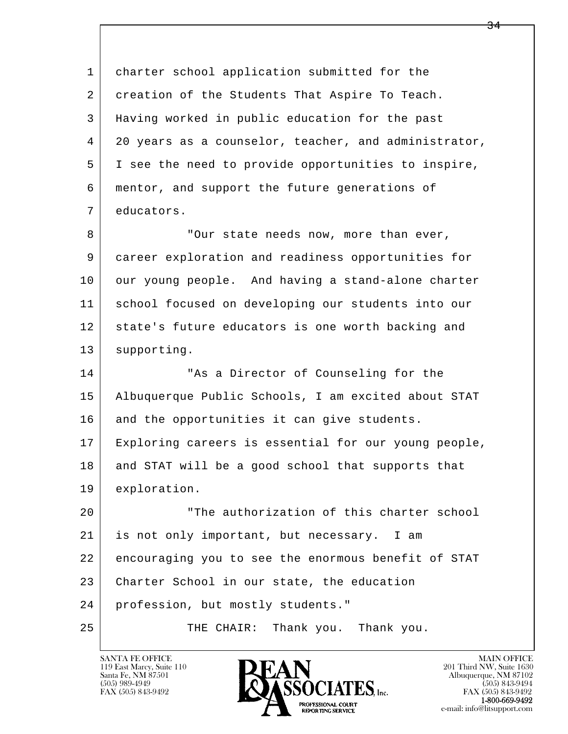l  $\overline{\phantom{a}}$ 1 charter school application submitted for the 2 creation of the Students That Aspire To Teach. 3 Having worked in public education for the past 4 20 years as a counselor, teacher, and administrator, 5 I see the need to provide opportunities to inspire, 6 mentor, and support the future generations of 7 educators. 8 | Cur state needs now, more than ever, 9 career exploration and readiness opportunities for 10 our young people. And having a stand-alone charter 11 school focused on developing our students into our 12 state's future educators is one worth backing and 13 supporting. 14 TAS a Director of Counseling for the 15 Albuquerque Public Schools, I am excited about STAT 16 and the opportunities it can give students. 17 Exploring careers is essential for our young people, 18 and STAT will be a good school that supports that 19 exploration. 20 "The authorization of this charter school 21 is not only important, but necessary. I am 22 encouraging you to see the enormous benefit of STAT 23 Charter School in our state, the education 24 profession, but mostly students." 25 THE CHAIR: Thank you. Thank you.

119 East Marcy, Suite 110<br>Santa Fe, NM 87501

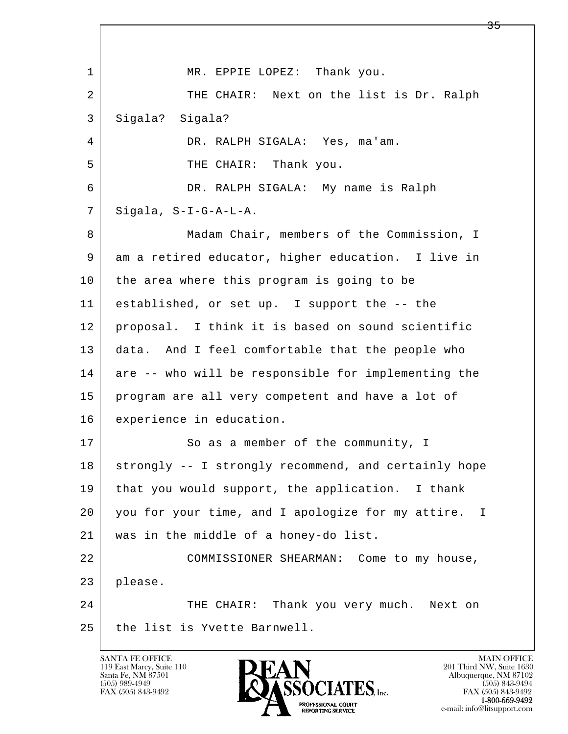l  $\overline{\phantom{a}}$ 1 MR. EPPIE LOPEZ: Thank you. 2 THE CHAIR: Next on the list is Dr. Ralph 3 Sigala? Sigala? 4 DR. RALPH SIGALA: Yes, ma'am. 5 | THE CHAIR: Thank you. 6 DR. RALPH SIGALA: My name is Ralph  $7$  Sigala, S-I-G-A-L-A. 8 Madam Chair, members of the Commission, I 9 am a retired educator, higher education. I live in 10 the area where this program is going to be 11 established, or set up. I support the -- the 12 proposal. I think it is based on sound scientific 13 data. And I feel comfortable that the people who 14 are -- who will be responsible for implementing the 15 program are all very competent and have a lot of 16 experience in education. 17 So as a member of the community, I 18 strongly -- I strongly recommend, and certainly hope 19 that you would support, the application. I thank 20 you for your time, and I apologize for my attire. I 21 was in the middle of a honey-do list. 22 COMMISSIONER SHEARMAN: Come to my house, 23 please. 24 THE CHAIR: Thank you very much. Next on 25 the list is Yvette Barnwell.

119 East Marcy, Suite 110<br>Santa Fe, NM 87501

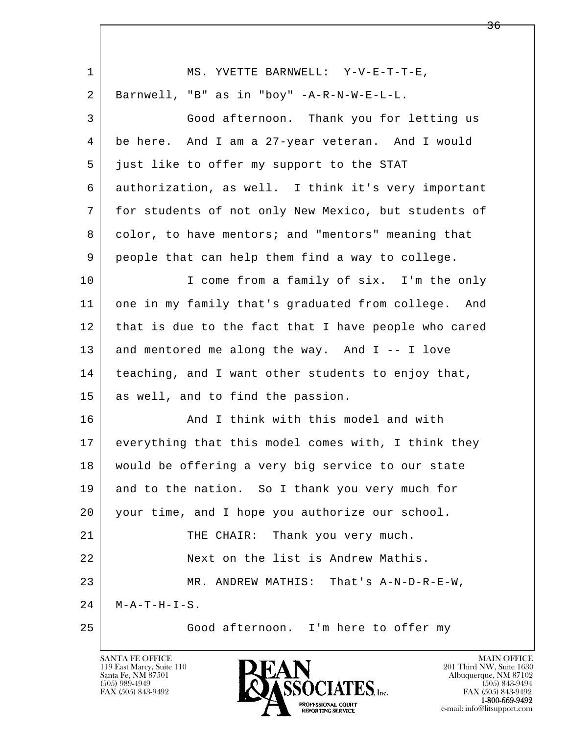| $\mathbf{1}$    | MS. YVETTE BARNWELL: Y-V-E-T-T-E,                    |
|-----------------|------------------------------------------------------|
| 2               | Barnwell, "B" as in "boy" -A-R-N-W-E-L-L.            |
| 3               | Good afternoon. Thank you for letting us             |
| 4               | be here. And I am a 27-year veteran. And I would     |
| 5               | just like to offer my support to the STAT            |
| 6               | authorization, as well. I think it's very important  |
| $7\phantom{.0}$ | for students of not only New Mexico, but students of |
| 8               | color, to have mentors; and "mentors" meaning that   |
| 9               | people that can help them find a way to college.     |
| 10              | I come from a family of six. I'm the only            |
| 11              | one in my family that's graduated from college. And  |
| 12              | that is due to the fact that I have people who cared |
| 13              | and mentored me along the way. And I -- I love       |
| 14              | teaching, and I want other students to enjoy that,   |
| 15              | as well, and to find the passion.                    |
| 16              | And I think with this model and with                 |
| 17              | everything that this model comes with, I think they  |
| 18              | would be offering a very big service to our state    |
| 19              | and to the nation. So I thank you very much for      |
| 20              | your time, and I hope you authorize our school.      |
| 21              | THE CHAIR: Thank you very much.                      |
| 22              | Next on the list is Andrew Mathis.                   |
| 23              | MR. ANDREW MATHIS: That's A-N-D-R-E-W,               |
| 24              | $M - A - T - H - I - S$ .                            |
| 25              | Good afternoon. I'm here to offer my                 |

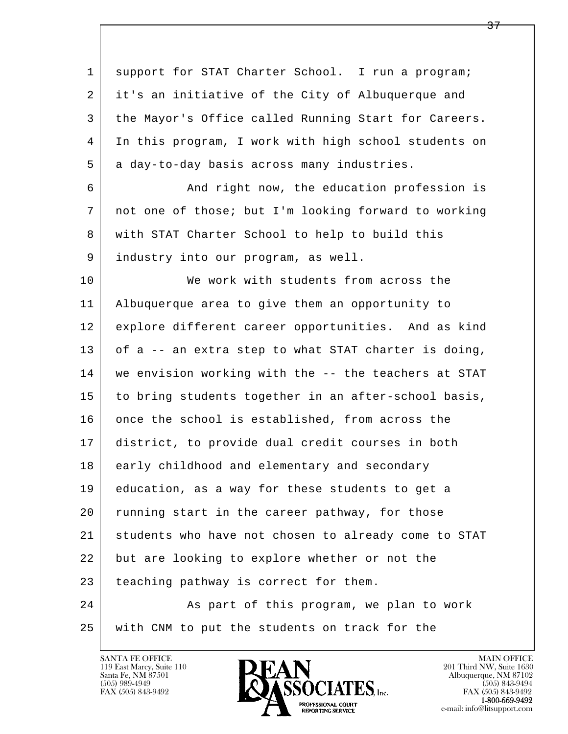l  $\overline{\phantom{a}}$ 1 support for STAT Charter School. I run a program; 2 it's an initiative of the City of Albuquerque and 3 the Mayor's Office called Running Start for Careers. 4 In this program, I work with high school students on 5 a day-to-day basis across many industries. 6 And right now, the education profession is 7 not one of those; but I'm looking forward to working 8 with STAT Charter School to help to build this 9 industry into our program, as well. 10 We work with students from across the 11 Albuquerque area to give them an opportunity to 12 explore different career opportunities. And as kind 13 of a -- an extra step to what STAT charter is doing, 14 we envision working with the -- the teachers at STAT 15 to bring students together in an after-school basis, 16 once the school is established, from across the 17 district, to provide dual credit courses in both 18 early childhood and elementary and secondary 19 education, as a way for these students to get a 20 running start in the career pathway, for those 21 students who have not chosen to already come to STAT 22 but are looking to explore whether or not the 23 teaching pathway is correct for them. 24 As part of this program, we plan to work 25 with CNM to put the students on track for the

119 East Marcy, Suite 110<br>Santa Fe, NM 87501

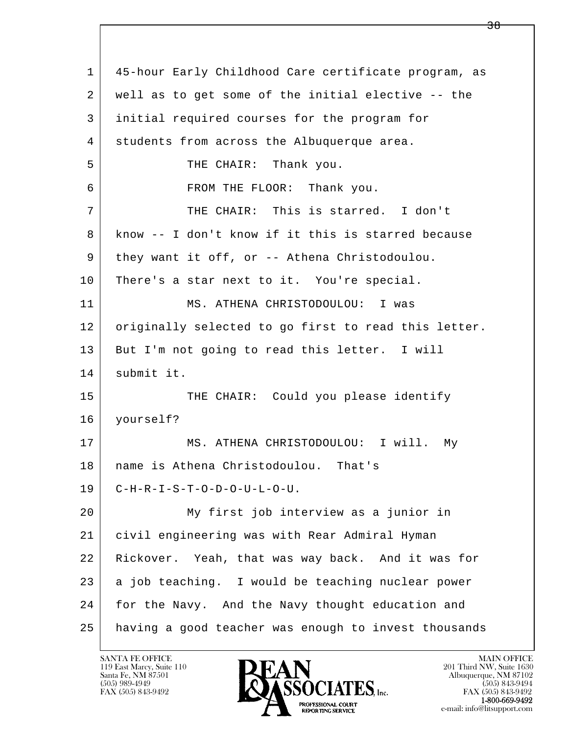| 1  | 45-hour Early Childhood Care certificate program, as |
|----|------------------------------------------------------|
| 2  | well as to get some of the initial elective -- the   |
| 3  | initial required courses for the program for         |
| 4  | students from across the Albuquerque area.           |
| 5  | THE CHAIR: Thank you.                                |
| 6  | FROM THE FLOOR: Thank you.                           |
| 7  | THE CHAIR: This is starred. I don't                  |
| 8  | know -- I don't know if it this is starred because   |
| 9  | they want it off, or -- Athena Christodoulou.        |
| 10 | There's a star next to it. You're special.           |
| 11 | MS. ATHENA CHRISTODOULOU: I was                      |
| 12 | originally selected to go first to read this letter. |
| 13 | But I'm not going to read this letter. I will        |
| 14 | submit it.                                           |
| 15 | THE CHAIR: Could you please identify                 |
| 16 | yourself?                                            |
| 17 | MS. ATHENA CHRISTODOULOU: I will.<br>Мy              |
| 18 | name is Athena Christodoulou. That's                 |
| 19 | $C-H-R-I-S-T-O-D-O-U-L-O-U.$                         |
| 20 | My first job interview as a junior in                |
| 21 | civil engineering was with Rear Admiral Hyman        |
| 22 | Rickover. Yeah, that was way back. And it was for    |
| 23 | a job teaching. I would be teaching nuclear power    |
| 24 | for the Navy. And the Navy thought education and     |
| 25 | having a good teacher was enough to invest thousands |

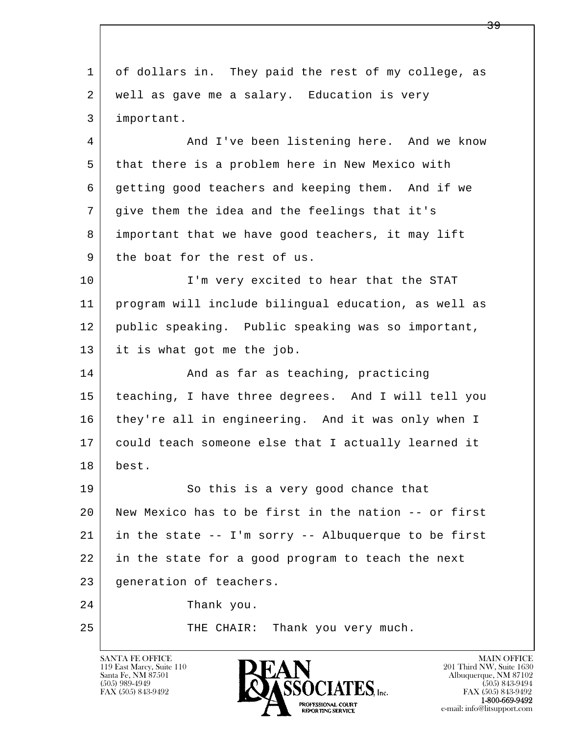l  $\overline{\phantom{a}}$  1 of dollars in. They paid the rest of my college, as 2 | well as gave me a salary. Education is very 3 important. 4 And I've been listening here. And we know 5 that there is a problem here in New Mexico with 6 getting good teachers and keeping them. And if we 7 give them the idea and the feelings that it's 8 important that we have good teachers, it may lift 9 | the boat for the rest of us. 10 I'm very excited to hear that the STAT 11 program will include bilingual education, as well as 12 public speaking. Public speaking was so important, 13 it is what got me the job. 14 And as far as teaching, practicing 15 teaching, I have three degrees. And I will tell you 16 they're all in engineering. And it was only when I 17 could teach someone else that I actually learned it 18 best. 19 So this is a very good chance that 20 New Mexico has to be first in the nation -- or first  $21$  in the state  $-$  I'm sorry  $-$  Albuquerque to be first 22 in the state for a good program to teach the next 23 generation of teachers. 24 Thank you. 25 THE CHAIR: Thank you very much.

119 East Marcy, Suite 110<br>Santa Fe, NM 87501

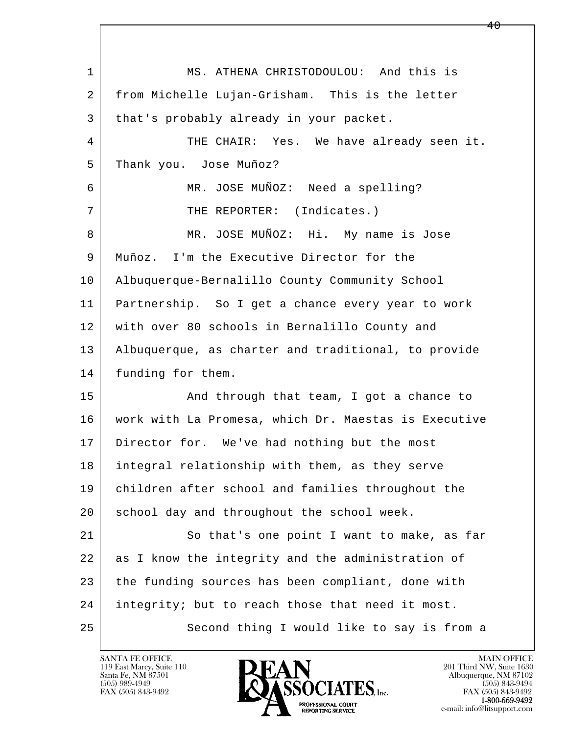l  $\overline{\phantom{a}}$ 1 MS. ATHENA CHRISTODOULOU: And this is 2 from Michelle Lujan-Grisham. This is the letter 3 | that's probably already in your packet. 4 THE CHAIR: Yes. We have already seen it. 5 Thank you. Jose Muñoz? 6 | MR. JOSE MUÑOZ: Need a spelling? 7 | THE REPORTER: (Indicates.) 8 MR. JOSE MUÑOZ: Hi. My name is Jose 9 Muñoz. I'm the Executive Director for the 10 Albuquerque-Bernalillo County Community School 11 Partnership. So I get a chance every year to work 12 with over 80 schools in Bernalillo County and 13 Albuquerque, as charter and traditional, to provide 14 | funding for them. 15 | And through that team, I got a chance to 16 work with La Promesa, which Dr. Maestas is Executive 17 Director for. We've had nothing but the most 18 integral relationship with them, as they serve 19 children after school and families throughout the 20 school day and throughout the school week. 21 So that's one point I want to make, as far 22 as I know the integrity and the administration of 23 the funding sources has been compliant, done with 24 integrity; but to reach those that need it most. 25 Second thing I would like to say is from a

119 East Marcy, Suite 110<br>Santa Fe, NM 87501

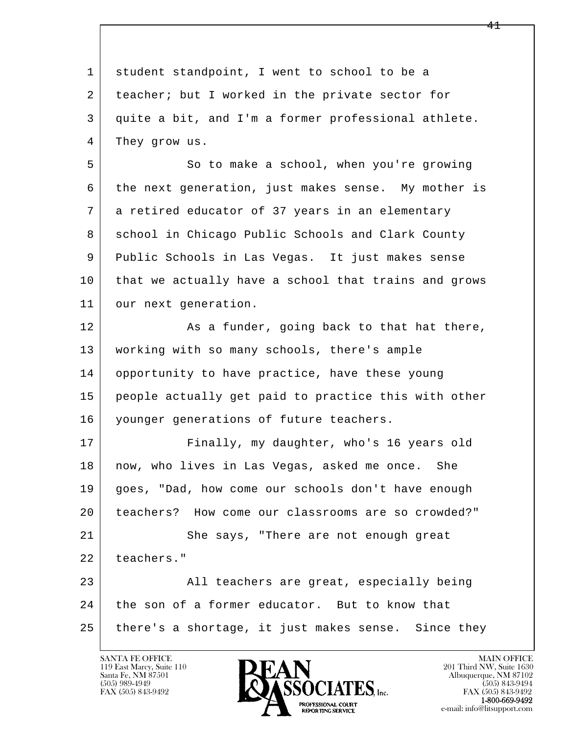l  $\overline{\phantom{a}}$ 1 student standpoint, I went to school to be a 2 | teacher; but I worked in the private sector for 3 quite a bit, and I'm a former professional athlete. 4 They grow us. 5 So to make a school, when you're growing 6 the next generation, just makes sense. My mother is 7 a retired educator of 37 years in an elementary 8 School in Chicago Public Schools and Clark County 9 Public Schools in Las Vegas. It just makes sense 10 that we actually have a school that trains and grows 11 | our next generation. 12 As a funder, going back to that hat there, 13 working with so many schools, there's ample 14 opportunity to have practice, have these young 15 people actually get paid to practice this with other 16 | younger generations of future teachers. 17 Finally, my daughter, who's 16 years old 18 | now, who lives in Las Vegas, asked me once. She 19 goes, "Dad, how come our schools don't have enough 20 teachers? How come our classrooms are so crowded?" 21 She says, "There are not enough great 22 teachers." 23 | All teachers are great, especially being 24 the son of a former educator. But to know that 25 there's a shortage, it just makes sense. Since they

119 East Marcy, Suite 110<br>Santa Fe, NM 87501



FAX (505) 843-9492<br>**1-800-669-9492**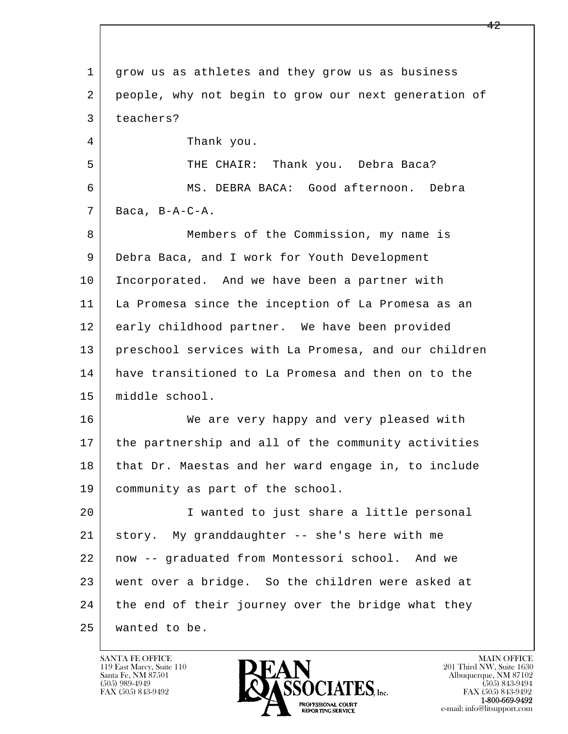l  $\overline{\phantom{a}}$  1 grow us as athletes and they grow us as business 2 people, why not begin to grow our next generation of 3 teachers? 4 Thank you. 5 THE CHAIR: Thank you. Debra Baca? 6 MS. DEBRA BACA: Good afternoon. Debra  $7$  Baca, B-A-C-A. 8 Members of the Commission, my name is 9 Debra Baca, and I work for Youth Development 10 Incorporated. And we have been a partner with 11 La Promesa since the inception of La Promesa as an 12 early childhood partner. We have been provided 13 preschool services with La Promesa, and our children 14 have transitioned to La Promesa and then on to the 15 middle school. 16 We are very happy and very pleased with 17 the partnership and all of the community activities 18 that Dr. Maestas and her ward engage in, to include 19 community as part of the school. 20 I wanted to just share a little personal 21 story. My granddaughter -- she's here with me 22 now -- graduated from Montessori school. And we 23 went over a bridge. So the children were asked at 24 the end of their journey over the bridge what they 25 wanted to be.

119 East Marcy, Suite 110<br>Santa Fe, NM 87501

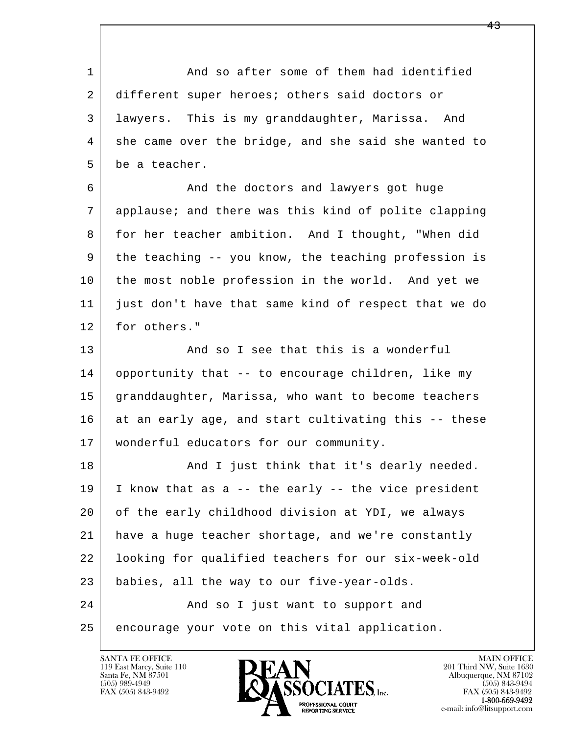1 and so after some of them had identified 2 different super heroes; others said doctors or 3 lawyers. This is my granddaughter, Marissa. And 4 she came over the bridge, and she said she wanted to 5 be a teacher.

6 And the doctors and lawyers got huge 7 applause; and there was this kind of polite clapping 8 for her teacher ambition. And I thought, "When did 9 the teaching -- you know, the teaching profession is 10 the most noble profession in the world. And yet we 11 just don't have that same kind of respect that we do 12 for others."

13 And so I see that this is a wonderful 14 opportunity that -- to encourage children, like my 15 | granddaughter, Marissa, who want to become teachers 16 at an early age, and start cultivating this -- these 17 wonderful educators for our community.

l  $\overline{\phantom{a}}$ 18 | The Rand I just think that it's dearly needed. 19 I know that as a -- the early -- the vice president 20 of the early childhood division at YDI, we always 21 have a huge teacher shortage, and we're constantly 22 looking for qualified teachers for our six-week-old 23 babies, all the way to our five-year-olds. 24 | Rand so I just want to support and 25 | encourage your vote on this vital application.

119 East Marcy, Suite 110<br>Santa Fe, NM 87501

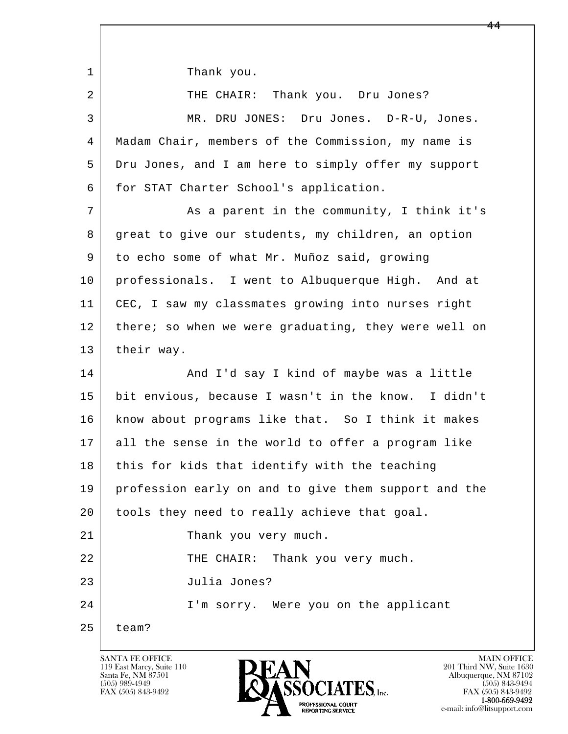1 Thank you.

| 2  | THE CHAIR: Thank you. Dru Jones?                     |  |
|----|------------------------------------------------------|--|
| 3  | MR. DRU JONES: Dru Jones. D-R-U, Jones.              |  |
| 4  | Madam Chair, members of the Commission, my name is   |  |
| 5  | Dru Jones, and I am here to simply offer my support  |  |
| 6  | for STAT Charter School's application.               |  |
| 7  | As a parent in the community, I think it's           |  |
| 8  | great to give our students, my children, an option   |  |
| 9  | to echo some of what Mr. Muñoz said, growing         |  |
| 10 | professionals. I went to Albuquerque High. And at    |  |
| 11 | CEC, I saw my classmates growing into nurses right   |  |
| 12 | there; so when we were graduating, they were well on |  |
| 13 | their way.                                           |  |
| 14 | And I'd say I kind of maybe was a little             |  |
| 15 | bit envious, because I wasn't in the know. I didn't  |  |
| 16 | know about programs like that. So I think it makes   |  |
| 17 | all the sense in the world to offer a program like   |  |
| 18 | this for kids that identify with the teaching        |  |
| 19 | profession early on and to give them support and the |  |
| 20 | tools they need to really achieve that goal.         |  |
| 21 | Thank you very much.                                 |  |
| 22 | Thank you very much.<br>THE CHAIR:                   |  |
| 23 | Julia Jones?                                         |  |
| 24 | I'm sorry. Were you on the applicant                 |  |
| 25 | team?                                                |  |

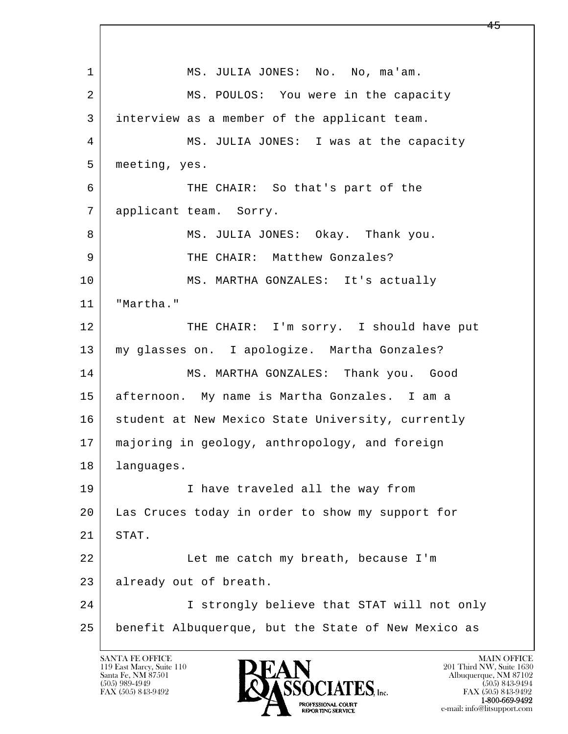l  $\overline{\phantom{a}}$ 1 MS. JULIA JONES: No. No, ma'am. 2 MS. POULOS: You were in the capacity 3 interview as a member of the applicant team. 4 MS. JULIA JONES: I was at the capacity 5 meeting, yes. 6 THE CHAIR: So that's part of the 7 | applicant team. Sorry. 8 MS. JULIA JONES: Okay. Thank you. 9 THE CHAIR: Matthew Gonzales? 10 MS. MARTHA GONZALES: It's actually 11 "Martha." 12 THE CHAIR: I'm sorry. I should have put 13 my glasses on. I apologize. Martha Gonzales? 14 MS. MARTHA GONZALES: Thank you. Good 15 afternoon. My name is Martha Gonzales. I am a 16 | student at New Mexico State University, currently 17 majoring in geology, anthropology, and foreign 18 | languages. 19 | I have traveled all the way from 20 Las Cruces today in order to show my support for 21 STAT. 22 Let me catch my breath, because I'm 23 already out of breath. 24 I strongly believe that STAT will not only 25 benefit Albuquerque, but the State of New Mexico as

119 East Marcy, Suite 110<br>Santa Fe, NM 87501



FAX (505) 843-9492 FAX (505) 843-9492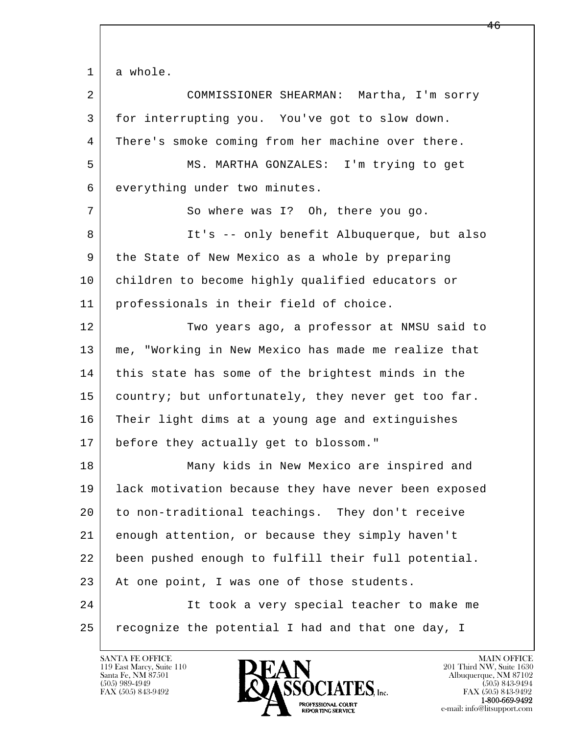1 a whole.

| $\overline{2}$ | COMMISSIONER SHEARMAN: Martha, I'm sorry             |
|----------------|------------------------------------------------------|
| 3              | for interrupting you. You've got to slow down.       |
| 4              | There's smoke coming from her machine over there.    |
| 5              | MS. MARTHA GONZALES: I'm trying to get               |
| 6              | everything under two minutes.                        |
| 7              | So where was I? Oh, there you go.                    |
| 8              | It's -- only benefit Albuquerque, but also           |
| 9              | the State of New Mexico as a whole by preparing      |
| 10             | children to become highly qualified educators or     |
| 11             | professionals in their field of choice.              |
| 12             | Two years ago, a professor at NMSU said to           |
| 13             | me, "Working in New Mexico has made me realize that  |
| 14             | this state has some of the brightest minds in the    |
| 15             | country; but unfortunately, they never get too far.  |
| 16             | Their light dims at a young age and extinguishes     |
| 17             | before they actually get to blossom."                |
| 18             | Many kids in New Mexico are inspired and             |
| 19             | lack motivation because they have never been exposed |
| 20             | to non-traditional teachings. They don't receive     |
| 21             | enough attention, or because they simply haven't     |
| 22             | been pushed enough to fulfill their full potential.  |
| 23             | At one point, I was one of those students.           |
| 24             | It took a very special teacher to make me            |
| 25             | recognize the potential I had and that one day, I    |

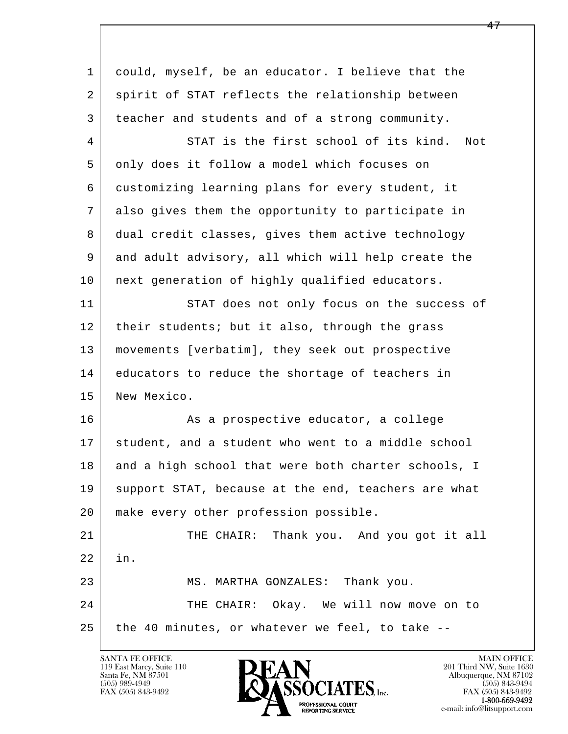| 1  | could, myself, be an educator. I believe that the   |
|----|-----------------------------------------------------|
| 2  | spirit of STAT reflects the relationship between    |
| 3  | teacher and students and of a strong community.     |
| 4  | STAT is the first school of its kind.<br>Not        |
| 5  | only does it follow a model which focuses on        |
| 6  | customizing learning plans for every student, it    |
| 7  | also gives them the opportunity to participate in   |
| 8  | dual credit classes, gives them active technology   |
| 9  | and adult advisory, all which will help create the  |
| 10 | next generation of highly qualified educators.      |
| 11 | STAT does not only focus on the success of          |
| 12 | their students; but it also, through the grass      |
| 13 | movements [verbatim], they seek out prospective     |
| 14 | educators to reduce the shortage of teachers in     |
| 15 | New Mexico.                                         |
| 16 | As a prospective educator, a college                |
| 17 | student, and a student who went to a middle school  |
| 18 | and a high school that were both charter schools, I |
| 19 | support STAT, because at the end, teachers are what |
| 20 | make every other profession possible.               |
| 21 | THE CHAIR: Thank you. And you got it all            |
| 22 | in.                                                 |
| 23 | MS. MARTHA GONZALES: Thank you.                     |
| 24 | THE CHAIR: Okay. We will now move on to             |
| 25 | the 40 minutes, or whatever we feel, to take --     |
|    |                                                     |

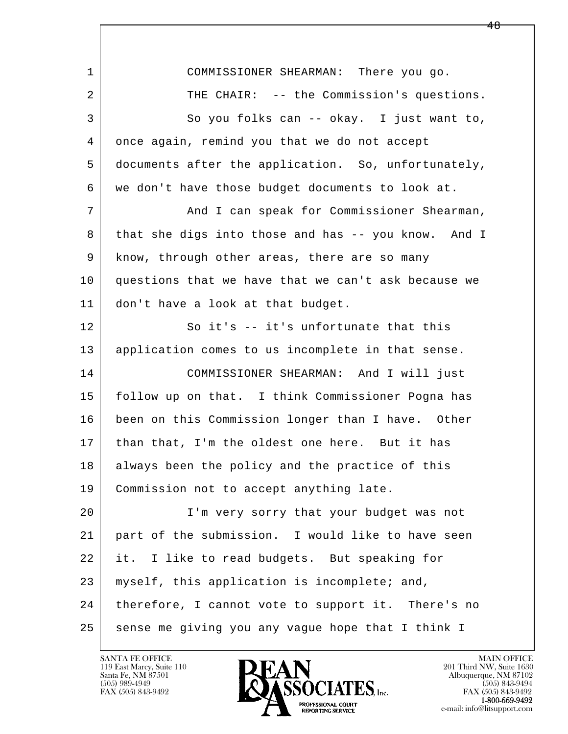l  $\overline{\phantom{a}}$  1 COMMISSIONER SHEARMAN: There you go. 2 THE CHAIR: -- the Commission's questions. 3 So you folks can -- okay. I just want to, 4 once again, remind you that we do not accept 5 documents after the application. So, unfortunately, 6 we don't have those budget documents to look at. 7 And I can speak for Commissioner Shearman, 8 that she digs into those and has -- you know. And I 9 know, through other areas, there are so many 10 questions that we have that we can't ask because we 11 don't have a look at that budget. 12 So it's -- it's unfortunate that this 13 application comes to us incomplete in that sense. 14 COMMISSIONER SHEARMAN: And I will just 15 follow up on that. I think Commissioner Pogna has 16 been on this Commission longer than I have. Other 17 | than that, I'm the oldest one here. But it has 18 always been the policy and the practice of this 19 | Commission not to accept anything late. 20 I'm very sorry that your budget was not 21 part of the submission. I would like to have seen 22 it. I like to read budgets. But speaking for 23 | myself, this application is incomplete; and, 24 | therefore, I cannot vote to support it. There's no 25 | sense me giving you any vague hope that I think I

119 East Marcy, Suite 110<br>Santa Fe, NM 87501



FAX (505) 843-9492<br>1-800-669-9492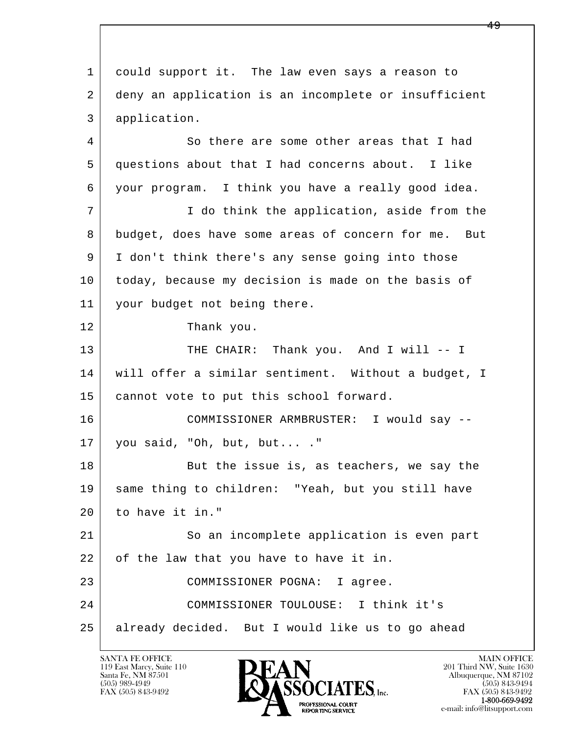l  $\overline{\phantom{a}}$  1 could support it. The law even says a reason to 2 deny an application is an incomplete or insufficient 3 application. 4 So there are some other areas that I had 5 questions about that I had concerns about. I like 6 your program. I think you have a really good idea. 7 | T do think the application, aside from the 8 budget, does have some areas of concern for me. But 9 I don't think there's any sense going into those 10 today, because my decision is made on the basis of 11 your budget not being there. 12 Thank you. 13 THE CHAIR: Thank you. And I will -- I 14 will offer a similar sentiment. Without a budget, I 15 | cannot vote to put this school forward. 16 COMMISSIONER ARMBRUSTER: I would say -- 17 you said, "Oh, but, but... ." 18 | But the issue is, as teachers, we say the 19 same thing to children: "Yeah, but you still have 20 to have it in." 21 So an incomplete application is even part 22 of the law that you have to have it in. 23 COMMISSIONER POGNA: I agree. 24 COMMISSIONER TOULOUSE: I think it's 25 already decided. But I would like us to go ahead

119 East Marcy, Suite 110<br>Santa Fe, NM 87501

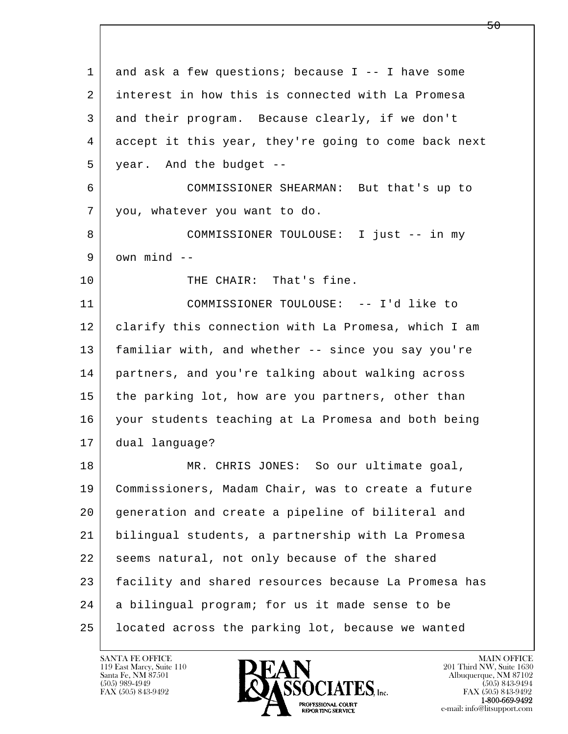l  $\overline{\phantom{a}}$  1 and ask a few questions; because I -- I have some 2 interest in how this is connected with La Promesa 3 and their program. Because clearly, if we don't 4 accept it this year, they're going to come back next 5 year. And the budget -- 6 COMMISSIONER SHEARMAN: But that's up to 7 you, whatever you want to do. 8 COMMISSIONER TOULOUSE: I just -- in my  $9$  own mind  $-$ 10 THE CHAIR: That's fine. 11 COMMISSIONER TOULOUSE: -- I'd like to 12 clarify this connection with La Promesa, which I am 13 familiar with, and whether -- since you say you're 14 partners, and you're talking about walking across 15 the parking lot, how are you partners, other than 16 your students teaching at La Promesa and both being 17 dual language? 18 | MR. CHRIS JONES: So our ultimate goal, 19 Commissioners, Madam Chair, was to create a future 20 generation and create a pipeline of biliteral and 21 bilingual students, a partnership with La Promesa 22 seems natural, not only because of the shared 23 facility and shared resources because La Promesa has 24 a bilingual program; for us it made sense to be 25 located across the parking lot, because we wanted

119 East Marcy, Suite 110<br>Santa Fe, NM 87501



FAX (505) 843-9492<br>1-800-669-9492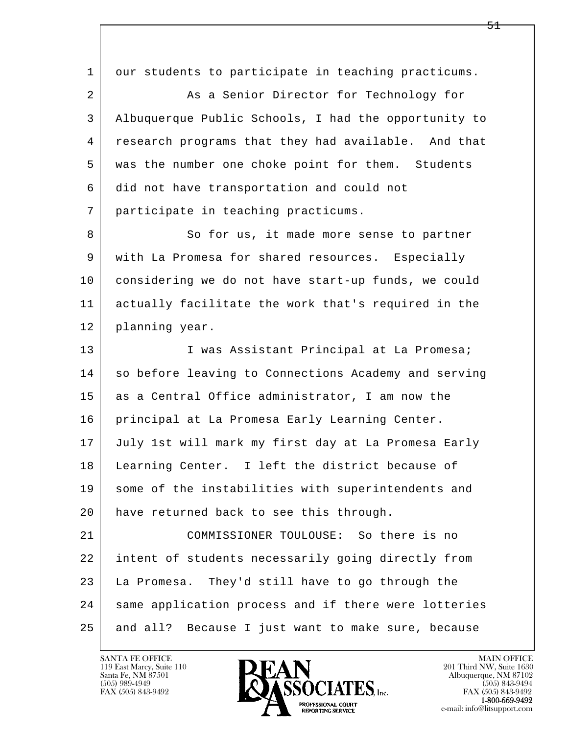l  $\overline{\phantom{a}}$ 1 our students to participate in teaching practicums. 2 As a Senior Director for Technology for 3 Albuquerque Public Schools, I had the opportunity to 4 research programs that they had available. And that 5 | was the number one choke point for them. Students 6 did not have transportation and could not 7 participate in teaching practicums. 8 | So for us, it made more sense to partner 9 with La Promesa for shared resources. Especially 10 considering we do not have start-up funds, we could 11 actually facilitate the work that's required in the 12 | planning year. 13 | I was Assistant Principal at La Promesa; 14 so before leaving to Connections Academy and serving 15 as a Central Office administrator, I am now the 16 principal at La Promesa Early Learning Center. 17 July 1st will mark my first day at La Promesa Early 18 Learning Center. I left the district because of 19 some of the instabilities with superintendents and 20 have returned back to see this through. 21 COMMISSIONER TOULOUSE: So there is no 22 intent of students necessarily going directly from 23 La Promesa. They'd still have to go through the 24 | same application process and if there were lotteries 25 and all? Because I just want to make sure, because

119 East Marcy, Suite 110<br>Santa Fe, NM 87501

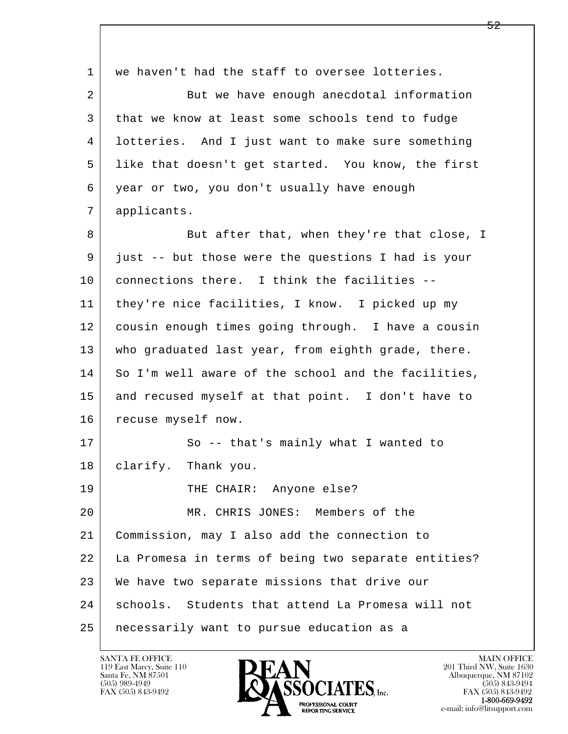l  $\overline{\phantom{a}}$ 1 we haven't had the staff to oversee lotteries. 2 But we have enough anecdotal information 3 that we know at least some schools tend to fudge 4 lotteries. And I just want to make sure something 5 like that doesn't get started. You know, the first 6 year or two, you don't usually have enough 7 applicants. 8 But after that, when they're that close, I 9 just -- but those were the questions I had is your 10 connections there. I think the facilities -- 11 they're nice facilities, I know. I picked up my 12 cousin enough times going through. I have a cousin 13 who graduated last year, from eighth grade, there. 14 So I'm well aware of the school and the facilities, 15 and recused myself at that point. I don't have to 16 | recuse myself now. 17 So -- that's mainly what I wanted to 18 clarify. Thank you. 19 THE CHAIR: Anyone else? 20 MR. CHRIS JONES: Members of the 21 Commission, may I also add the connection to 22 La Promesa in terms of being two separate entities? 23 We have two separate missions that drive our 24 schools. Students that attend La Promesa will not 25 necessarily want to pursue education as a

119 East Marcy, Suite 110<br>Santa Fe, NM 87501



FAX (505) 843-9492<br>1-800-669-9492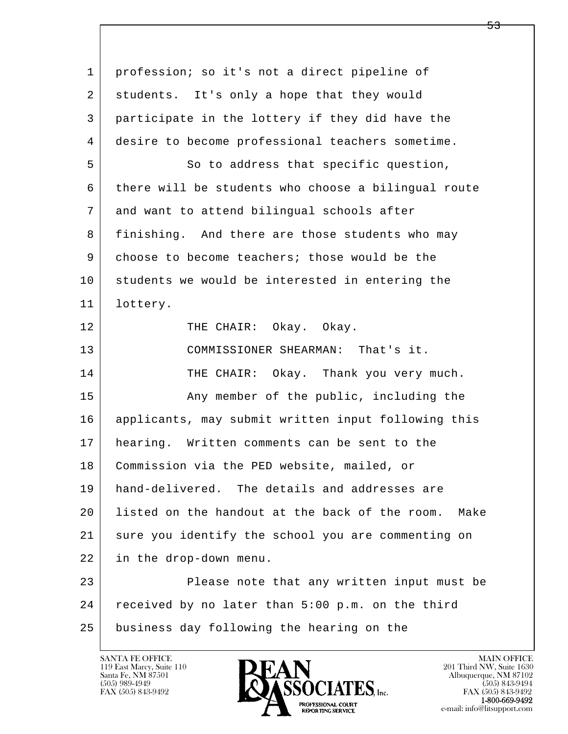l  $\overline{\phantom{a}}$  1 profession; so it's not a direct pipeline of 2 students. It's only a hope that they would 3 participate in the lottery if they did have the 4 desire to become professional teachers sometime. 5 So to address that specific question, 6 there will be students who choose a bilingual route 7 and want to attend bilingual schools after 8 finishing. And there are those students who may 9 choose to become teachers; those would be the 10 students we would be interested in entering the 11 lottery. 12 | THE CHAIR: Okay. Okay. 13 COMMISSIONER SHEARMAN: That's it. 14 THE CHAIR: Okay. Thank you very much. 15 | The Public, including the same when the public, including the 16 applicants, may submit written input following this 17 hearing. Written comments can be sent to the 18 Commission via the PED website, mailed, or 19 hand-delivered. The details and addresses are 20 listed on the handout at the back of the room. Make 21 sure you identify the school you are commenting on 22 in the drop-down menu. 23 Please note that any written input must be 24 received by no later than 5:00 p.m. on the third 25 business day following the hearing on the

119 East Marcy, Suite 110<br>Santa Fe, NM 87501

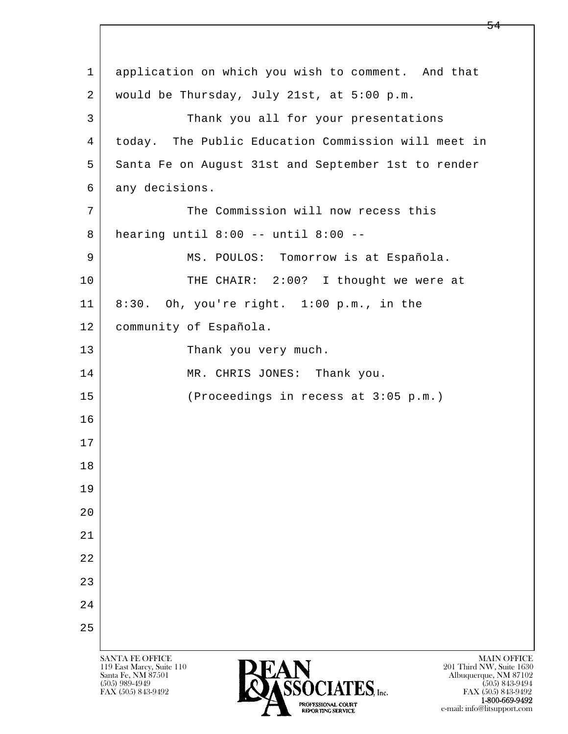l  $\overline{\phantom{a}}$ SANTA FE OFFICE MAIN OFFICE MAIN OFFICE MAIN OFFICE MAIN OFFICE Santa Fe, NM 87501 Albuquerque, NM 87102 1 application on which you wish to comment. And that 2 would be Thursday, July 21st, at 5:00 p.m. 3 Thank you all for your presentations 4 today. The Public Education Commission will meet in 5 Santa Fe on August 31st and September 1st to render 6 any decisions. 7 The Commission will now recess this 8 hearing until 8:00 -- until 8:00 -- 9 | MS. POULOS: Tomorrow is at Española. 10 THE CHAIR: 2:00? I thought we were at 11 8:30. Oh, you're right. 1:00 p.m., in the 12 | community of Española. 13 Thank you very much. 14 MR. CHRIS JONES: Thank you. 15 (Proceedings in recess at 3:05 p.m.) 16 17 18 19  $2.0$  21 22 23 24 25

119 East Marcy, Suite 110<br>Santa Fe, NM 87501

 $\overline{\text{SSOCIATES}}_{\text{Lnc}}$  (505) 989-4949 (505) 843-9492 (505) 843-9492 (505) 843-9492 FAX (505) 843-9492 FAX (505) 843-9492  $R_{\text{D}}$  1-800-669-9492<br>
REPORTING SERVICE<br>
REPORTING SERVICE<br>
REPORTING SERVICE e-mail: info@litsupport.com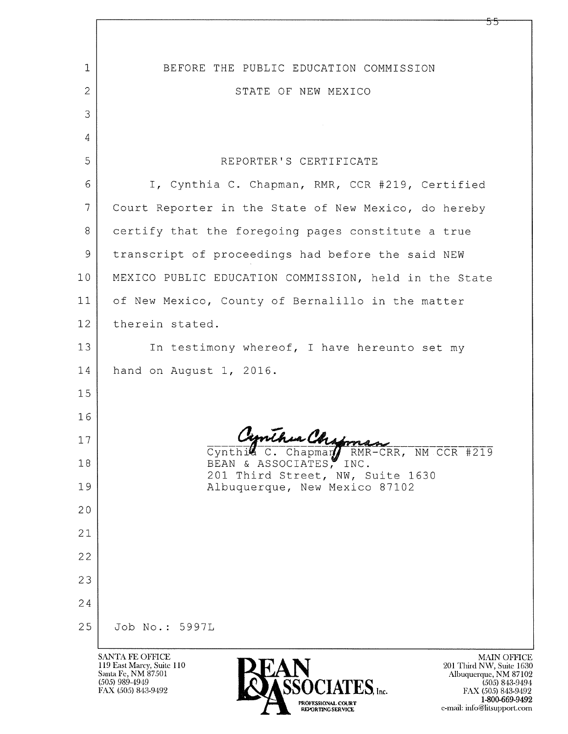| $\mathbf 1$    | BEFORE THE PUBLIC EDUCATION COMMISSION                                                                                                |
|----------------|---------------------------------------------------------------------------------------------------------------------------------------|
| 2              | STATE OF NEW MEXICO                                                                                                                   |
| 3              |                                                                                                                                       |
| 4              |                                                                                                                                       |
| 5              | REPORTER'S CERTIFICATE                                                                                                                |
| 6              | I, Cynthia C. Chapman, RMR, CCR #219, Certified                                                                                       |
| $\overline{7}$ | Court Reporter in the State of New Mexico, do hereby                                                                                  |
| 8              | certify that the foregoing pages constitute a true                                                                                    |
| 9              | transcript of proceedings had before the said NEW                                                                                     |
| 10             | MEXICO PUBLIC EDUCATION COMMISSION, held in the State                                                                                 |
| 11             | of New Mexico, County of Bernalillo in the matter                                                                                     |
| 12             | therein stated.                                                                                                                       |
| 13             | In testimony whereof, I have hereunto set my                                                                                          |
| 14             | hand on August 1, 2016.                                                                                                               |
| 15             |                                                                                                                                       |
| 16             |                                                                                                                                       |
| 17             | Cynthic C. Chapman RMR-CRR, NM CCR #219                                                                                               |
| 18             | BEAN & ASSOCIATES, INC.<br>201 Third Street, NW, Suite 1630                                                                           |
| 19             | Albuquerque, New Mexico 87102                                                                                                         |
| 20             |                                                                                                                                       |
| 21             |                                                                                                                                       |
| 22             |                                                                                                                                       |
| 23             |                                                                                                                                       |
| 24             |                                                                                                                                       |
| 25             | Job No.: 5997L                                                                                                                        |
|                | <b>SANTA FE OFFICE</b><br><b>MAIN OF</b><br>119 East Marcy, Suite 110<br>201 Third NW, Suite<br>Santa Fe, NM 87501<br>Albuquerque, NM |

(505) 989-4949<br>FAX (505) 843-9492

SSOCIATES, Inc. **PROFESSIONAL COURT<br>REPORTING SERVICE** 

MAIN OFFICE<br>Third NW, Suite 1630<br>Duquerque, NM 87102<br>(505) 843-9492<br>1-800-669-9492<br>10/20169-9492<br>1: prodottermont com e-mail: info@litsupport.com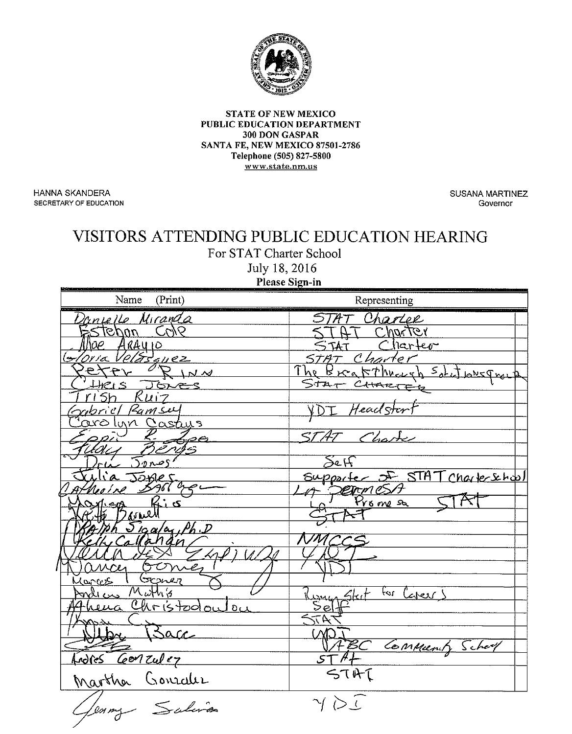

## **STATE OF NEW MEXICO** PUBLIC EDUCATION DEPARTMENT 300 DON GASPAR SANTA FE, NEW MEXICO 87501-2786 Telephone (505) 827-5800 www.state.nm.us

**HANNA SKANDERA** SECRETARY OF EDUCATION **SUSANA MARTINEZ** Governor

## VISITORS ATTENDING PUBLIC EDUCATION HEARING

For STAT Charter School

July 18, 2016 Please Sign-in

| Name<br>(Print)                   | Representing                    |
|-----------------------------------|---------------------------------|
| Danielle Miranda                  | TAT Charlee                     |
| <u>tehan Cole</u>                 | HT Charter                      |
| 0e ARAYIO<br>11a Velasquez        | Charter                         |
| 'Oria V                           | STAT Charter                    |
| PETTY RINN                        | The Breakthough Solit Lovepoorp |
| HRIS JON                          | STAT CHARTER                    |
| rish Ruiz                         |                                 |
| Sabriel Ramsey                    | I Headstert                     |
| <u>arolyn Gastys</u>              | AT Charte                       |
| Lee                               |                                 |
| canos in                          | Seff                            |
| Jones                             | Supporte 5 STAT Charleshol      |
|                                   |                                 |
|                                   | <b>Exprest</b>                  |
|                                   |                                 |
| $Siga/a$ , Ph.D                   |                                 |
|                                   |                                 |
|                                   |                                 |
| <u>I Gener</u><br>Kances          |                                 |
| Muthis<br>mill cus                | Kunngsteit for Career!          |
| heua Christodou<br>0 <sub>L</sub> |                                 |
| <u>Martin</u>                     | 477                             |
| Bacc                              |                                 |
|                                   | ABC Commany School              |
| Andres Gonzulez                   |                                 |
| Martha Gonrales                   | STAT                            |
| Jenny Salin                       | $\gamma \gtrsim \epsilon$       |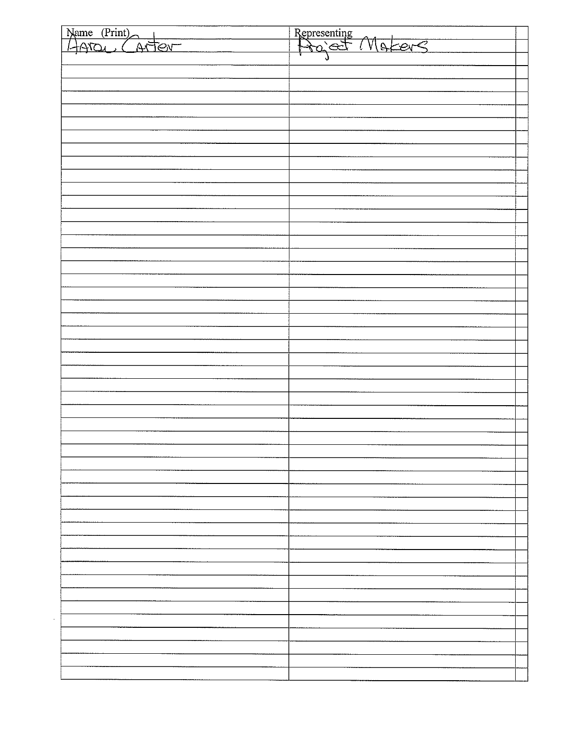| Name (Print)                   |                                |
|--------------------------------|--------------------------------|
| $\overline{M}$<br><u>Fevro</u> | Representing<br>Project Moters |
|                                |                                |
|                                |                                |
|                                |                                |
|                                |                                |
|                                |                                |
|                                |                                |
|                                |                                |
|                                |                                |
|                                |                                |
|                                |                                |
|                                |                                |
|                                |                                |
|                                |                                |
|                                |                                |
|                                |                                |
|                                |                                |
|                                |                                |
|                                |                                |
|                                |                                |
|                                |                                |
|                                |                                |
|                                |                                |
|                                |                                |
|                                |                                |
|                                |                                |
|                                |                                |
|                                |                                |
|                                |                                |
|                                |                                |
|                                |                                |
|                                |                                |
|                                |                                |
|                                |                                |
|                                |                                |
|                                |                                |
|                                |                                |
|                                |                                |
|                                |                                |
|                                |                                |
|                                |                                |
|                                |                                |
|                                |                                |
|                                |                                |
|                                |                                |
|                                |                                |
|                                |                                |
|                                |                                |
|                                |                                |
|                                |                                |
|                                |                                |
|                                |                                |
|                                |                                |
|                                |                                |
|                                |                                |
|                                |                                |
|                                |                                |
|                                |                                |
|                                |                                |
|                                |                                |
|                                |                                |
|                                |                                |
|                                |                                |
|                                |                                |
|                                |                                |